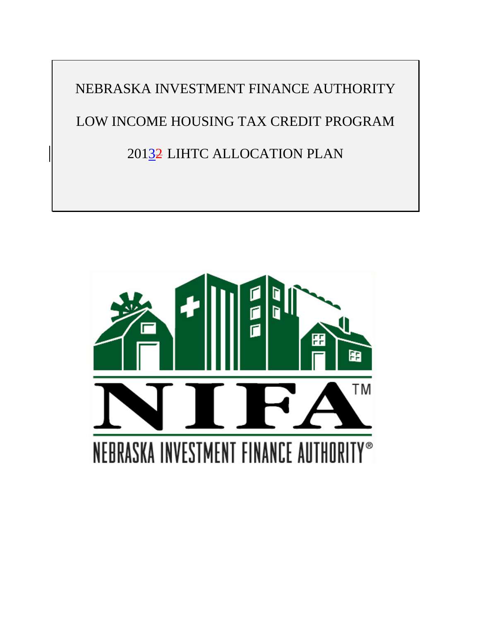NEBRASKA INVESTMENT FINANCE AUTHORITY LOW INCOME HOUSING TAX CREDIT PROGRAM 20132 LIHTC ALLOCATION PLAN

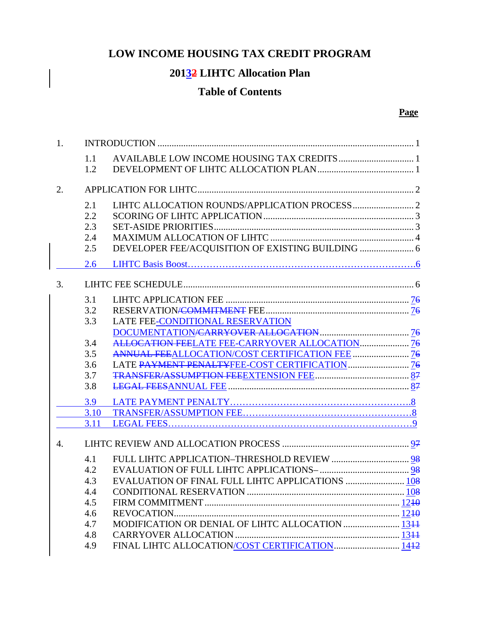# **LOW INCOME HOUSING TAX CREDIT PROGRAM**

# **20132 LIHTC Allocation Plan**

# **Table of Contents**

#### **Page**

| 1. |                          |                                                  |  |  |  |
|----|--------------------------|--------------------------------------------------|--|--|--|
|    | 1.1<br>1.2               |                                                  |  |  |  |
| 2. |                          |                                                  |  |  |  |
|    | 2.1<br>2.2<br>2.3<br>2.4 |                                                  |  |  |  |
|    | 2.5                      |                                                  |  |  |  |
|    | 2.6                      |                                                  |  |  |  |
| 3. |                          |                                                  |  |  |  |
|    | 3.1<br>3.2<br>3.3        | LATE FEE-CONDITIONAL RESERVATION                 |  |  |  |
|    | 3.4                      | ALLOCATION FEELATE FEE-CARRYOVER ALLOCATION 76   |  |  |  |
|    | 3.5                      |                                                  |  |  |  |
|    | 3.6                      |                                                  |  |  |  |
|    | 3.7                      |                                                  |  |  |  |
|    | 3.8                      |                                                  |  |  |  |
|    | 3.9                      |                                                  |  |  |  |
|    | 3.10                     |                                                  |  |  |  |
|    | 3.11                     |                                                  |  |  |  |
| 4. |                          |                                                  |  |  |  |
|    | 4.1                      |                                                  |  |  |  |
|    | 4.2                      |                                                  |  |  |  |
|    | 4.3                      | EVALUATION OF FINAL FULL LIHTC APPLICATIONS  108 |  |  |  |
|    | 4.4                      |                                                  |  |  |  |
|    | 4.5                      |                                                  |  |  |  |
|    | 4.6                      |                                                  |  |  |  |
|    | 4.7                      | MODIFICATION OR DENIAL OF LIHTC ALLOCATION  1344 |  |  |  |
|    | 4.8                      |                                                  |  |  |  |
|    | 4.9                      |                                                  |  |  |  |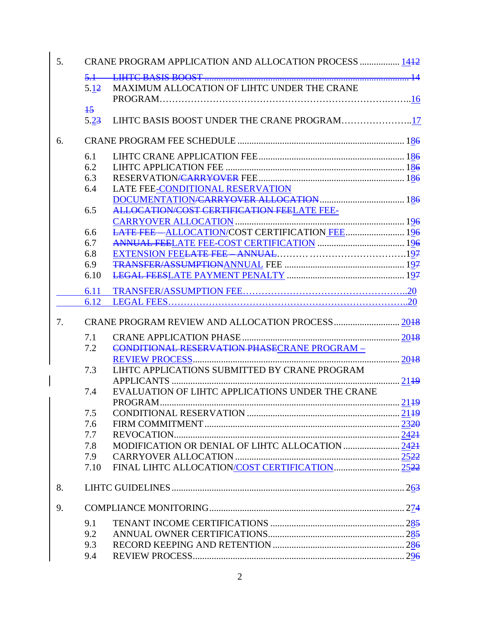| 5 <sub>1</sub> | CRANE PROGRAM APPLICATION AND ALLOCATION PROCESS  1442 |                                                   |  |  |  |
|----------------|--------------------------------------------------------|---------------------------------------------------|--|--|--|
|                |                                                        |                                                   |  |  |  |
|                | 5.12                                                   | MAXIMUM ALLOCATION OF LIHTC UNDER THE CRANE       |  |  |  |
|                |                                                        |                                                   |  |  |  |
|                | $+5$                                                   |                                                   |  |  |  |
|                | 5.23                                                   | LIHTC BASIS BOOST UNDER THE CRANE PROGRAM17       |  |  |  |
|                |                                                        |                                                   |  |  |  |
| 6.             |                                                        |                                                   |  |  |  |
|                | 6.1                                                    |                                                   |  |  |  |
|                | 6.2                                                    |                                                   |  |  |  |
|                | 6.3                                                    |                                                   |  |  |  |
|                | 6.4                                                    | LATE FEE-CONDITIONAL RESERVATION                  |  |  |  |
|                |                                                        |                                                   |  |  |  |
|                | 6.5                                                    | <b>ALLOCATION/COST CERTIFICATION FEELATE FEE-</b> |  |  |  |
|                |                                                        |                                                   |  |  |  |
|                | 6.6                                                    | LATE FEE-ALLOCATION/COST CERTIFICATION FEE  196   |  |  |  |
|                | 6.7                                                    |                                                   |  |  |  |
|                | 6.8                                                    |                                                   |  |  |  |
|                | 6.9                                                    |                                                   |  |  |  |
|                | 6.10                                                   |                                                   |  |  |  |
|                | 6.11                                                   |                                                   |  |  |  |
|                | 6.12                                                   |                                                   |  |  |  |
|                |                                                        |                                                   |  |  |  |
| 7.             |                                                        |                                                   |  |  |  |
|                | 7.1                                                    |                                                   |  |  |  |
|                | 7.2                                                    | CONDITIONAL RESERVATION PHASECRANE PROGRAM -      |  |  |  |
|                |                                                        |                                                   |  |  |  |
|                | 7.3                                                    | LIHTC APPLICATIONS SUBMITTED BY CRANE PROGRAM     |  |  |  |
|                |                                                        |                                                   |  |  |  |
|                | 7.4                                                    | EVALUATION OF LIHTC APPLICATIONS UNDER THE CRANE  |  |  |  |
|                |                                                        |                                                   |  |  |  |
|                | 7.5                                                    |                                                   |  |  |  |
|                | 7.6                                                    |                                                   |  |  |  |
|                | 7.7                                                    |                                                   |  |  |  |
|                | 7.8                                                    |                                                   |  |  |  |
|                | 7.9                                                    |                                                   |  |  |  |
|                | 7.10                                                   |                                                   |  |  |  |
| 8.             |                                                        |                                                   |  |  |  |
|                |                                                        |                                                   |  |  |  |
| 9.             |                                                        |                                                   |  |  |  |
|                | 9.1                                                    |                                                   |  |  |  |
|                | 9.2                                                    |                                                   |  |  |  |
|                | 9.3                                                    |                                                   |  |  |  |
|                | 9.4                                                    |                                                   |  |  |  |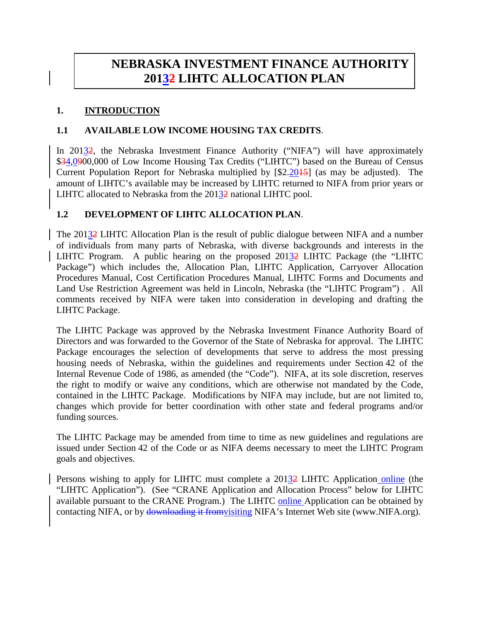# **NEBRASKA INVESTMENT FINANCE AUTHORITY 20132 LIHTC ALLOCATION PLAN**

#### **1. INTRODUCTION**

### **1.1 AVAILABLE LOW INCOME HOUSING TAX CREDITS**.

In 20132, the Nebraska Investment Finance Authority ("NIFA") will have approximately \$34,0900,000 of Low Income Housing Tax Credits ("LIHTC") based on the Bureau of Census Current Population Report for Nebraska multiplied by [\$2.2015] (as may be adjusted). The amount of LIHTC's available may be increased by LIHTC returned to NIFA from prior years or LIHTC allocated to Nebraska from the 20132 national LIHTC pool.

## **1.2 DEVELOPMENT OF LIHTC ALLOCATION PLAN**.

The 20132 LIHTC Allocation Plan is the result of public dialogue between NIFA and a number of individuals from many parts of Nebraska, with diverse backgrounds and interests in the LIHTC Program. A public hearing on the proposed 20132 LIHTC Package (the "LIHTC Package") which includes the, Allocation Plan, LIHTC Application, Carryover Allocation Procedures Manual, Cost Certification Procedures Manual, LIHTC Forms and Documents and Land Use Restriction Agreement was held in Lincoln, Nebraska (the "LIHTC Program") . All comments received by NIFA were taken into consideration in developing and drafting the LIHTC Package.

The LIHTC Package was approved by the Nebraska Investment Finance Authority Board of Directors and was forwarded to the Governor of the State of Nebraska for approval. The LIHTC Package encourages the selection of developments that serve to address the most pressing housing needs of Nebraska, within the guidelines and requirements under Section 42 of the Internal Revenue Code of 1986, as amended (the "Code"). NIFA, at its sole discretion, reserves the right to modify or waive any conditions, which are otherwise not mandated by the Code, contained in the LIHTC Package. Modifications by NIFA may include, but are not limited to, changes which provide for better coordination with other state and federal programs and/or funding sources.

The LIHTC Package may be amended from time to time as new guidelines and regulations are issued under Section 42 of the Code or as NIFA deems necessary to meet the LIHTC Program goals and objectives.

Persons wishing to apply for LIHTC must complete a 20132 LIHTC Application online (the "LIHTC Application"). (See "CRANE Application and Allocation Process" below for LIHTC available pursuant to the CRANE Program.) The LIHTC online Application can be obtained by contacting NIFA, or by downloading it fromvisiting NIFA's Internet Web site (www.NIFA.org).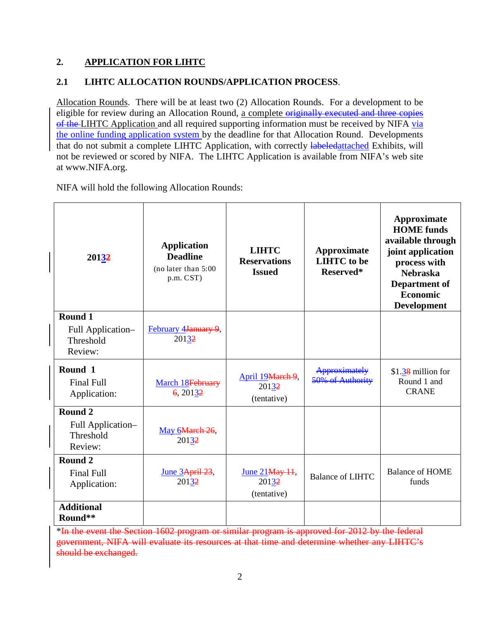#### **2. APPLICATION FOR LIHTC**

# **2.1 LIHTC ALLOCATION ROUNDS/APPLICATION PROCESS**.

Allocation Rounds. There will be at least two (2) Allocation Rounds. For a development to be eligible for review during an Allocation Round, a complete originally executed and three copies of the LIHTC Application and all required supporting information must be received by NIFA via at www.NIFA.org. the online funding application system by the deadline for that Allocation Round. Developments that do not submit a complete LIHTC Application, with correctly **labeledattached** Exhibits, will not be reviewed or scored by NIFA. The LIHTC Application is available from NIFA's web site

**20132 Application Deadline** (no later than 5:00 p.m. CST) **LIHTC Reservations Issued Approximate LIHTC to be Reserved\* Approximate HOME funds available through joint application process with Nebraska Department of Economic Development Round 1** Full Application– Threshold Review: February 4January 9, 201<u>3</u>2

NIFA will hold the following Allocation Rounds:

| Full Application-<br>Threshold<br>Review:            | February 4January 9,<br>20132        |                                           |                                   |                                                    |
|------------------------------------------------------|--------------------------------------|-------------------------------------------|-----------------------------------|----------------------------------------------------|
| Round 1<br><b>Final Full</b><br>Application:         | March 18 February<br>6, 20132        | April 19 March 9,<br>20132<br>(tentative) | Approximately<br>50% of Authority | $$1.38$ million for<br>Round 1 and<br><b>CRANE</b> |
| Round 2<br>Full Application-<br>Threshold<br>Review: | May 6 <del>March 26</del> ,<br>20132 |                                           |                                   |                                                    |
| Round 2<br><b>Final Full</b><br>Application:         | June 3April 23,<br>20132             | June 21 May 11,<br>20132<br>(tentative)   | <b>Balance of LIHTC</b>           | Balance of HOME<br>funds                           |
| <b>Additional</b><br>Round**                         |                                      |                                           |                                   |                                                    |

\*In the event the Section 1602 program or similar program is approved for 2012 by the federal government, NIFA will evaluate its resources at that time and determine whether any LIHTC's should be exchanged.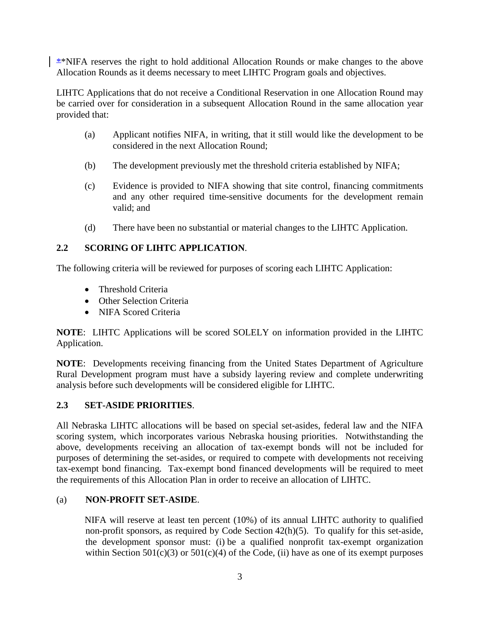\*NIFA reserves the right to hold additional Allocation Rounds or make changes to the above Allocation Rounds as it deems necessary to meet LIHTC Program goals and objectives.

LIHTC Applications that do not receive a Conditional Reservation in one Allocation Round may be carried over for consideration in a subsequent Allocation Round in the same allocation year provided that:

- (a) Applicant notifies NIFA, in writing, that it still would like the development to be considered in the next Allocation Round;
- (b) The development previously met the threshold criteria established by NIFA;
- (c) Evidence is provided to NIFA showing that site control, financing commitments and any other required time-sensitive documents for the development remain valid; and
- (d) There have been no substantial or material changes to the LIHTC Application.

### **2.2 SCORING OF LIHTC APPLICATION**.

The following criteria will be reviewed for purposes of scoring each LIHTC Application:

- Threshold Criteria
- Other Selection Criteria
- NIFA Scored Criteria

**NOTE**: LIHTC Applications will be scored SOLELY on information provided in the LIHTC Application.

**NOTE**: Developments receiving financing from the United States Department of Agriculture Rural Development program must have a subsidy layering review and complete underwriting analysis before such developments will be considered eligible for LIHTC.

### **2.3 SET-ASIDE PRIORITIES**.

All Nebraska LIHTC allocations will be based on special set-asides, federal law and the NIFA scoring system, which incorporates various Nebraska housing priorities. Notwithstanding the above, developments receiving an allocation of tax-exempt bonds will not be included for purposes of determining the set-asides, or required to compete with developments not receiving tax-exempt bond financing. Tax-exempt bond financed developments will be required to meet the requirements of this Allocation Plan in order to receive an allocation of LIHTC.

### (a) **NON-PROFIT SET-ASIDE**.

NIFA will reserve at least ten percent (10%) of its annual LIHTC authority to qualified non-profit sponsors, as required by Code Section 42(h)(5). To qualify for this set-aside, the development sponsor must: (i) be a qualified nonprofit tax-exempt organization within Section 501(c)(3) or 501(c)(4) of the Code, (ii) have as one of its exempt purposes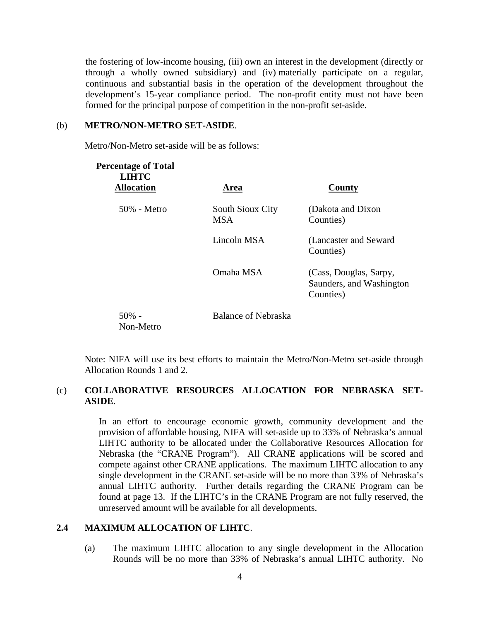the fostering of low-income housing, (iii) own an interest in the development (directly or through a wholly owned subsidiary) and (iv) materially participate on a regular, continuous and substantial basis in the operation of the development throughout the development's 15-year compliance period. The non-profit entity must not have been formed for the principal purpose of competition in the non-profit set-aside.

#### (b) **METRO/NON-METRO SET-ASIDE**.

Metro/Non-Metro set-aside will be as follows:

| <b>Percentage of Total</b><br><b>LIHTC</b><br><b>Allocation</b> | Area                           | County                                                          |
|-----------------------------------------------------------------|--------------------------------|-----------------------------------------------------------------|
| $50\%$ - Metro                                                  | South Sioux City<br><b>MSA</b> | (Dakota and Dixon)<br>Counties)                                 |
|                                                                 | Lincoln MSA                    | (Lancaster and Seward)<br>Counties)                             |
|                                                                 | Omaha MSA                      | (Cass, Douglas, Sarpy,<br>Saunders, and Washington<br>Counties) |
| $50\%$ -<br>Non-Metro                                           | Balance of Nebraska            |                                                                 |

Note: NIFA will use its best efforts to maintain the Metro/Non-Metro set-aside through Allocation Rounds 1 and 2.

#### (c) **COLLABORATIVE RESOURCES ALLOCATION FOR NEBRASKA SET-ASIDE**.

In an effort to encourage economic growth, community development and the provision of affordable housing, NIFA will set-aside up to 33% of Nebraska's annual LIHTC authority to be allocated under the Collaborative Resources Allocation for Nebraska (the "CRANE Program"). All CRANE applications will be scored and compete against other CRANE applications. The maximum LIHTC allocation to any single development in the CRANE set-aside will be no more than 33% of Nebraska's annual LIHTC authority. Further details regarding the CRANE Program can be found at page 13. If the LIHTC's in the CRANE Program are not fully reserved, the unreserved amount will be available for all developments.

### **2.4 MAXIMUM ALLOCATION OF LIHTC**.

(a) The maximum LIHTC allocation to any single development in the Allocation Rounds will be no more than 33% of Nebraska's annual LIHTC authority. No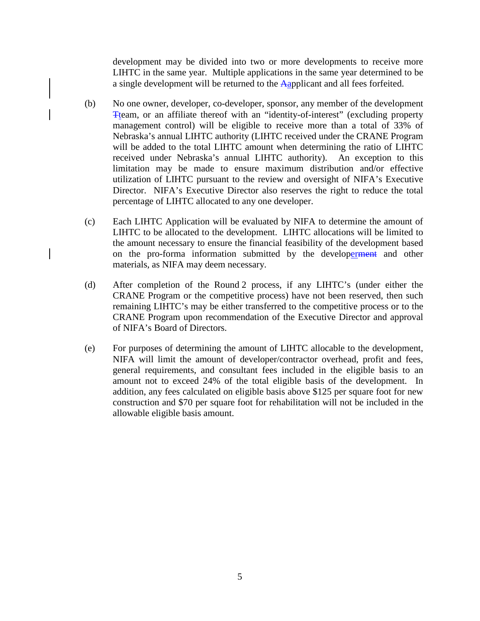development may be divided into two or more developments to receive more LIHTC in the same year. Multiple applications in the same year determined to be a single development will be returned to the Aapplicant and all fees forfeited.

- (b) No one owner, developer, co-developer, sponsor, any member of the development Tteam, or an affiliate thereof with an "identity-of-interest" (excluding property management control) will be eligible to receive more than a total of 33% of Nebraska's annual LIHTC authority (LIHTC received under the CRANE Program will be added to the total LIHTC amount when determining the ratio of LIHTC received under Nebraska's annual LIHTC authority). An exception to this limitation may be made to ensure maximum distribution and/or effective utilization of LIHTC pursuant to the review and oversight of NIFA's Executive Director. NIFA's Executive Director also reserves the right to reduce the total percentage of LIHTC allocated to any one developer.
- (c) Each LIHTC Application will be evaluated by NIFA to determine the amount of LIHTC to be allocated to the development. LIHTC allocations will be limited to the amount necessary to ensure the financial feasibility of the development based on the pro-forma information submitted by the developerment and other materials, as NIFA may deem necessary.
- (d) After completion of the Round 2 process, if any LIHTC's (under either the CRANE Program or the competitive process) have not been reserved, then such remaining LIHTC's may be either transferred to the competitive process or to the CRANE Program upon recommendation of the Executive Director and approval of NIFA's Board of Directors.
- (e) For purposes of determining the amount of LIHTC allocable to the development, NIFA will limit the amount of developer/contractor overhead, profit and fees, general requirements, and consultant fees included in the eligible basis to an amount not to exceed 24% of the total eligible basis of the development. In addition, any fees calculated on eligible basis above \$125 per square foot for new construction and \$70 per square foot for rehabilitation will not be included in the allowable eligible basis amount.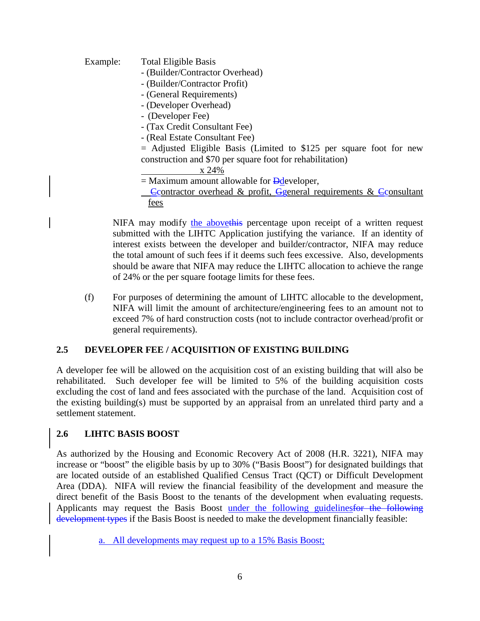Example: Total Eligible Basis - (Builder/Contractor Overhead) - (Builder/Contractor Profit) - (General Requirements) - (Developer Overhead) - (Developer Fee) - (Tax Credit Consultant Fee) - (Real Estate Consultant Fee) = Adjusted Eligible Basis (Limited to \$125 per square foot for new construction and \$70 per square foot for rehabilitation)  $=$  Maximum amount allowable for  $\frac{1}{2}$  Ddeveloper, x 24% Ccontractor overhead & profit, Ggeneral requirements & Cconsultant fees

NIFA may modify the abovethis percentage upon receipt of a written request submitted with the LIHTC Application justifying the variance. If an identity of interest exists between the developer and builder/contractor, NIFA may reduce the total amount of such fees if it deems such fees excessive. Also, developments should be aware that NIFA may reduce the LIHTC allocation to achieve the range of 24% or the per square footage limits for these fees.

(f) For purposes of determining the amount of LIHTC allocable to the development, NIFA will limit the amount of architecture/engineering fees to an amount not to exceed 7% of hard construction costs (not to include contractor overhead/profit or general requirements).

### **2.5 DEVELOPER FEE / ACQUISITION OF EXISTING BUILDING**

A developer fee will be allowed on the acquisition cost of an existing building that will also be rehabilitated. Such developer fee will be limited to 5% of the building acquisition costs excluding the cost of land and fees associated with the purchase of the land. Acquisition cost of the existing building(s) must be supported by an appraisal from an unrelated third party and a settlement statement.

### **2.6 LIHTC BASIS BOOST**

As authorized by the Housing and Economic Recovery Act of 2008 (H.R. 3221), NIFA may increase or "boost" the eligible basis by up to 30% ("Basis Boost") for designated buildings that are located outside of an established Qualified Census Tract (QCT) or Difficult Development Area (DDA). NIFA will review the financial feasibility of the development and measure the direct benefit of the Basis Boost to the tenants of the development when evaluating requests. Applicants may request the Basis Boost under the following guidelinesfor the following development types if the Basis Boost is needed to make the development financially feasible:

a. All developments may request up to a 15% Basis Boost;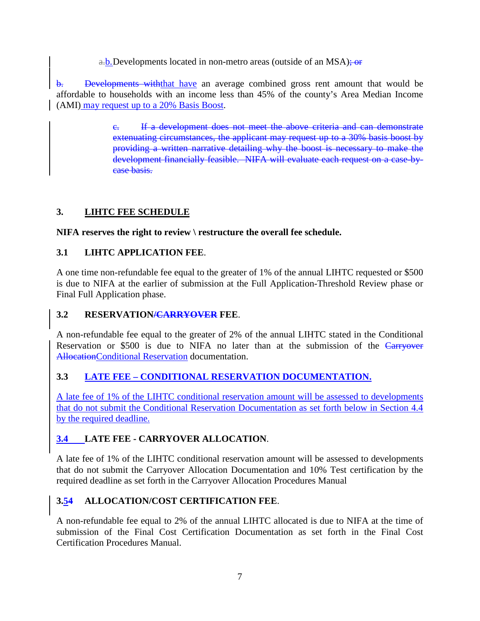a.b.Developments located in non-metro areas (outside of an MSA); or

b. Developments withthat have an average combined gross rent amount that would be affordable to households with an income less than 45% of the county's Area Median Income (AMI) may request up to a 20% Basis Boost.

> c. If a development does not meet the above criteria and can demonstrate extenuating circumstances, the applicant may request up to a 30% basis boost by providing a written narrative detailing why the boost is necessary to make the development financially feasible. NIFA will evaluate each request on a case-bycase basis.

#### **3. LIHTC FEE SCHEDULE**

**NIFA reserves the right to review \ restructure the overall fee schedule.**

# **3.1 LIHTC APPLICATION FEE**.

A one time non-refundable fee equal to the greater of 1% of the annual LIHTC requested or \$500 is due to NIFA at the earlier of submission at the Full Application-Threshold Review phase or Final Full Application phase.

### **3.2 RESERVATION/CARRYOVER FEE**.

A non-refundable fee equal to the greater of 2% of the annual LIHTC stated in the Conditional Reservation or \$500 is due to NIFA no later than at the submission of the Carryover AllocationConditional Reservation documentation.

# **3.3 LATE FEE – CONDITIONAL RESERVATION DOCUMENTATION.**

A late fee of 1% of the LIHTC conditional reservation amount will be assessed to developments that do not submit the Conditional Reservation Documentation as set forth below in Section 4.4 by the required deadline.

# **3.4 LATE FEE - CARRYOVER ALLOCATION**.

A late fee of 1% of the LIHTC conditional reservation amount will be assessed to developments that do not submit the Carryover Allocation Documentation and 10% Test certification by the required deadline as set forth in the Carryover Allocation Procedures Manual

# **3.54 ALLOCATION/COST CERTIFICATION FEE**.

A non-refundable fee equal to 2% of the annual LIHTC allocated is due to NIFA at the time of submission of the Final Cost Certification Documentation as set forth in the Final Cost Certification Procedures Manual.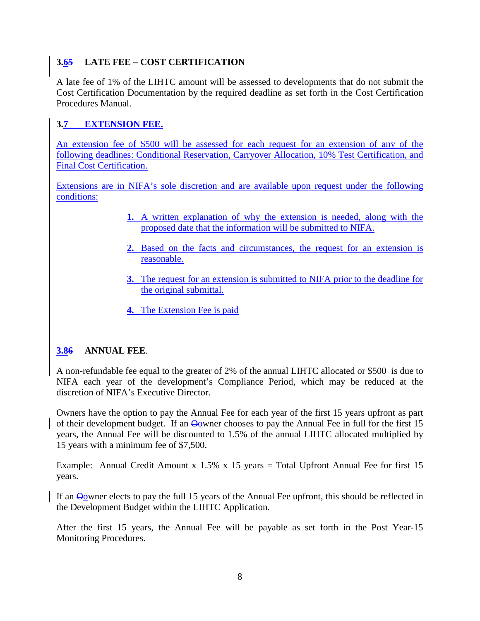# **3.65 LATE FEE – COST CERTIFICATION**

A late fee of 1% of the LIHTC amount will be assessed to developments that do not submit the Cost Certification Documentation by the required deadline as set forth in the Cost Certification Procedures Manual.

# **3.7 EXTENSION FEE.**

An extension fee of \$500 will be assessed for each request for an extension of any of the following deadlines: Conditional Reservation, Carryover Allocation, 10% Test Certification, and Final Cost Certification.

Extensions are in NIFA's sole discretion and are available upon request under the following conditions:

- **1.** A written explanation of why the extension is needed, along with the proposed date that the information will be submitted to NIFA.
- **2.** Based on the facts and circumstances, the request for an extension is reasonable.
- **3.** The request for an extension is submitted to NIFA prior to the deadline for the original submittal.
- **4.** The Extension Fee is paid

### **3.86 ANNUAL FEE**.

A non-refundable fee equal to the greater of 2% of the annual LIHTC allocated or \$500 is due to NIFA each year of the development's Compliance Period, which may be reduced at the discretion of NIFA's Executive Director.

Owners have the option to pay the Annual Fee for each year of the first 15 years upfront as part of their development budget. If an Oowner chooses to pay the Annual Fee in full for the first 15 years, the Annual Fee will be discounted to 1.5% of the annual LIHTC allocated multiplied by 15 years with a minimum fee of \$7,500.

Example: Annual Credit Amount x  $1.5\%$  x 15 years = Total Upfront Annual Fee for first 15 years.

If an Oowner elects to pay the full 15 years of the Annual Fee upfront, this should be reflected in the Development Budget within the LIHTC Application.

After the first 15 years, the Annual Fee will be payable as set forth in the Post Year-15 Monitoring Procedures.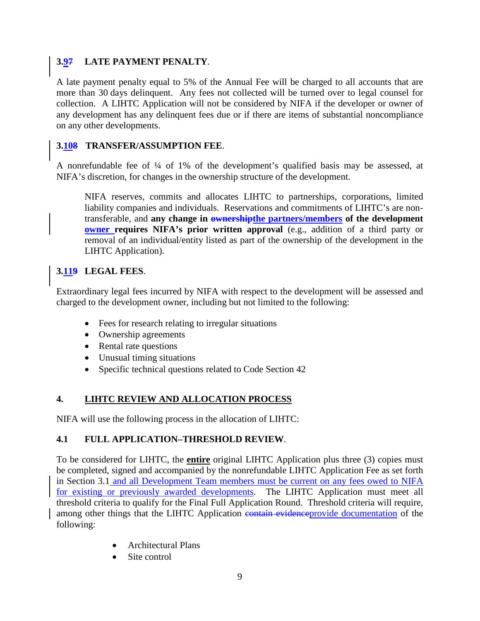## **3.97 LATE PAYMENT PENALTY**.

A late payment penalty equal to 5% of the Annual Fee will be charged to all accounts that are more than 30 days delinquent. Any fees not collected will be turned over to legal counsel for collection. A LIHTC Application will not be considered by NIFA if the developer or owner of any development has any delinquent fees due or if there are items of substantial noncompliance on any other developments.

## **3.108 TRANSFER/ASSUMPTION FEE**.

A nonrefundable fee of ¼ of 1% of the development's qualified basis may be assessed, at NIFA's discretion, for changes in the ownership structure of the development.

NIFA reserves, commits and allocates LIHTC to partnerships, corporations, limited liability companies and individuals. Reservations and commitments of LIHTC's are nontransferable, and **any change in ownershipthe partners/members of the development owner requires NIFA's prior written approval** (e.g., addition of a third party or removal of an individual/entity listed as part of the ownership of the development in the LIHTC Application).

# **3.119 LEGAL FEES**.

Extraordinary legal fees incurred by NIFA with respect to the development will be assessed and charged to the development owner, including but not limited to the following:

- Fees for research relating to irregular situations
- Ownership agreements
- Rental rate questions
- Unusual timing situations
- Specific technical questions related to Code Section 42

#### **4. LIHTC REVIEW AND ALLOCATION PROCESS**

NIFA will use the following process in the allocation of LIHTC:

### **4.1 FULL APPLICATION–THRESHOLD REVIEW**.

To be considered for LIHTC, the **entire** original LIHTC Application plus three (3) copies must be completed, signed and accompanied by the nonrefundable LIHTC Application Fee as set forth in Section 3.1 and all Development Team members must be current on any fees owed to NIFA for existing or previously awarded developments. The LIHTC Application must meet all threshold criteria to qualify for the Final Full Application Round. Threshold criteria will require, among other things that the LIHTC Application contain evidence provide documentation of the following:

- Architectural Plans
- Site control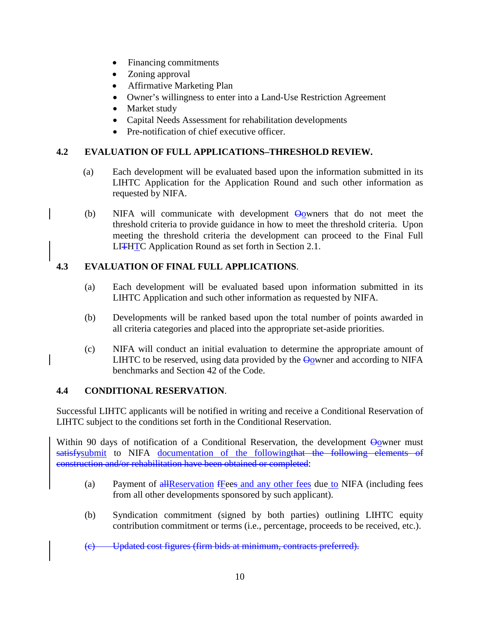- Financing commitments
- Zoning approval
- Affirmative Marketing Plan
- Owner's willingness to enter into a Land-Use Restriction Agreement
- Market study
- Capital Needs Assessment for rehabilitation developments
- Pre-notification of chief executive officer.

## **4.2 EVALUATION OF FULL APPLICATIONS–THRESHOLD REVIEW.**

- (a) Each development will be evaluated based upon the information submitted in its LIHTC Application for the Application Round and such other information as requested by NIFA.
- (b) NIFA will communicate with development  $\Theta_0$  wners that do not meet the threshold criteria to provide guidance in how to meet the threshold criteria. Upon meeting the threshold criteria the development can proceed to the Final Full LITHTC Application Round as set forth in Section 2.1.

### **4.3 EVALUATION OF FINAL FULL APPLICATIONS**.

- (a) Each development will be evaluated based upon information submitted in its LIHTC Application and such other information as requested by NIFA.
- (b) Developments will be ranked based upon the total number of points awarded in all criteria categories and placed into the appropriate set-aside priorities.
- (c) NIFA will conduct an initial evaluation to determine the appropriate amount of LIHTC to be reserved, using data provided by the  $\Theta$ owner and according to NIFA benchmarks and Section 42 of the Code.

### **4.4 CONDITIONAL RESERVATION**.

Successful LIHTC applicants will be notified in writing and receive a Conditional Reservation of LIHTC subject to the conditions set forth in the Conditional Reservation.

Within 90 days of notification of a Conditional Reservation, the development Oowner must satisfysubmit to NIFA documentation of the followingthat the following elements of construction and/or rehabilitation have been obtained or completed:

- (a) Payment of allReservation fFees and any other fees due to NIFA (including fees from all other developments sponsored by such applicant).
- (b) Syndication commitment (signed by both parties) outlining LIHTC equity contribution commitment or terms (i.e., percentage, proceeds to be received, etc.).

(c) Updated cost figures (firm bids at minimum, contracts preferred).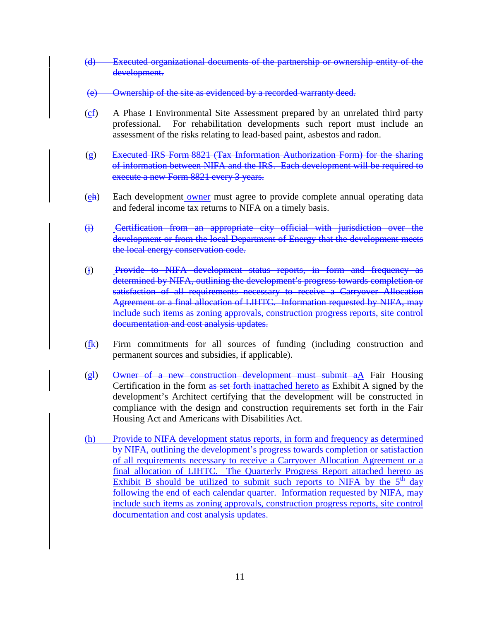- (d) Executed organizational documents of the partnership or ownership entity of the development.
- (e) Ownership of the site as evidenced by a recorded warranty deed.
- (cf) A Phase I Environmental Site Assessment prepared by an unrelated third party professional. For rehabilitation developments such report must include an assessment of the risks relating to lead-based paint, asbestos and radon.
- (g) Executed IRS Form 8821 (Tax Information Authorization Form) for the sharing of information between NIFA and the IRS. Each development will be required to execute a new Form 8821 every 3 years.
- (eh) Each development owner must agree to provide complete annual operating data and federal income tax returns to NIFA on a timely basis.
- (i) Certification from an appropriate city official with jurisdiction over the development or from the local Department of Energy that the development meets the local energy conservation code.
- (j) Provide to NIFA development status reports, in form and frequency as determined by NIFA, outlining the development's progress towards completion or satisfaction of all requirements necessary to receive a Carryover Allocation Agreement or a final allocation of LIHTC. Information requested by NIFA, may include such items as zoning approvals, construction progress reports, site control documentation and cost analysis updates.
- $(f_k)$  Firm commitments for all sources of funding (including construction and permanent sources and subsidies, if applicable).
- (gl) Owner of a new construction development must submit aA Fair Housing Certification in the form as set forth inattached hereto as Exhibit A signed by the development's Architect certifying that the development will be constructed in compliance with the design and construction requirements set forth in the Fair Housing Act and Americans with Disabilities Act.
- (h) Provide to NIFA development status reports, in form and frequency as determined by NIFA, outlining the development's progress towards completion or satisfaction of all requirements necessary to receive a Carryover Allocation Agreement or a final allocation of LIHTC. The Quarterly Progress Report attached hereto as Exhibit B should be utilized to submit such reports to NIFA by the  $5<sup>th</sup>$  day following the end of each calendar quarter. Information requested by NIFA, may include such items as zoning approvals, construction progress reports, site control documentation and cost analysis updates.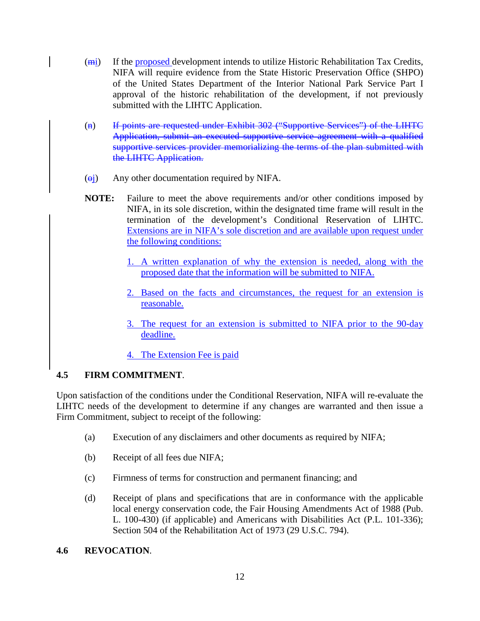- (<del>mi</del>) If the proposed development intends to utilize Historic Rehabilitation Tax Credits, NIFA will require evidence from the State Historic Preservation Office (SHPO) of the United States Department of the Interior National Park Service Part I approval of the historic rehabilitation of the development, if not previously submitted with the LIHTC Application.
- (n) If points are requested under Exhibit 302 ("Supportive Services") of the LIHTC Application, submit an executed supportive service agreement with a qualified supportive services provider memorializing the terms of the plan submitted with the LIHTC Application.
- $\overline{(\theta)}$  Any other documentation required by NIFA.
- **NOTE:** Failure to meet the above requirements and/or other conditions imposed by NIFA, in its sole discretion, within the designated time frame will result in the termination of the development's Conditional Reservation of LIHTC. Extensions are in NIFA's sole discretion and are available upon request under the following conditions:
	- 1. A written explanation of why the extension is needed, along with the proposed date that the information will be submitted to NIFA.
	- 2. Based on the facts and circumstances, the request for an extension is reasonable.
	- 3. The request for an extension is submitted to NIFA prior to the 90-day deadline.
	- 4. The Extension Fee is paid

### **4.5 FIRM COMMITMENT**.

Upon satisfaction of the conditions under the Conditional Reservation, NIFA will re-evaluate the LIHTC needs of the development to determine if any changes are warranted and then issue a Firm Commitment, subject to receipt of the following:

- (a) Execution of any disclaimers and other documents as required by NIFA;
- (b) Receipt of all fees due NIFA;
- (c) Firmness of terms for construction and permanent financing; and
- (d) Receipt of plans and specifications that are in conformance with the applicable local energy conservation code, the Fair Housing Amendments Act of 1988 (Pub. L. 100-430) (if applicable) and Americans with Disabilities Act (P.L. 101-336); Section 504 of the Rehabilitation Act of 1973 (29 U.S.C. 794).

#### **4.6 REVOCATION**.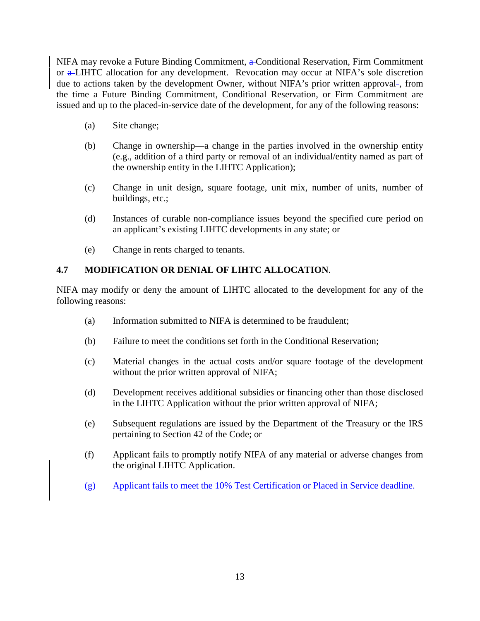NIFA may revoke a Future Binding Commitment, a Conditional Reservation, Firm Commitment or a LIHTC allocation for any development. Revocation may occur at NIFA's sole discretion due to actions taken by the development Owner, without NIFA's prior written approval-, from the time a Future Binding Commitment, Conditional Reservation, or Firm Commitment are issued and up to the placed-in-service date of the development, for any of the following reasons:

- (a) Site change;
- (b) Change in ownership—a change in the parties involved in the ownership entity (e.g., addition of a third party or removal of an individual/entity named as part of the ownership entity in the LIHTC Application);
- (c) Change in unit design, square footage, unit mix, number of units, number of buildings, etc.;
- (d) Instances of curable non-compliance issues beyond the specified cure period on an applicant's existing LIHTC developments in any state; or
- (e) Change in rents charged to tenants.

# **4.7 MODIFICATION OR DENIAL OF LIHTC ALLOCATION**.

NIFA may modify or deny the amount of LIHTC allocated to the development for any of the following reasons:

- (a) Information submitted to NIFA is determined to be fraudulent;
- (b) Failure to meet the conditions set forth in the Conditional Reservation;
- (c) Material changes in the actual costs and/or square footage of the development without the prior written approval of NIFA;
- (d) Development receives additional subsidies or financing other than those disclosed in the LIHTC Application without the prior written approval of NIFA;
- (e) Subsequent regulations are issued by the Department of the Treasury or the IRS pertaining to Section 42 of the Code; or
- (f) Applicant fails to promptly notify NIFA of any material or adverse changes from the original LIHTC Application.
- (g) Applicant fails to meet the 10% Test Certification or Placed in Service deadline.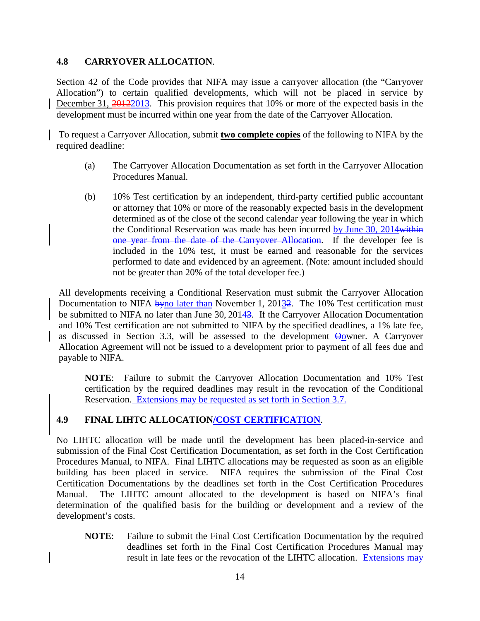#### **4.8 CARRYOVER ALLOCATION**.

Section 42 of the Code provides that NIFA may issue a carryover allocation (the "Carryover Allocation") to certain qualified developments, which will not be placed in service by December 31, 2012/2013. This provision requires that 10% or more of the expected basis in the development must be incurred within one year from the date of the Carryover Allocation.

To request a Carryover Allocation, submit **two complete copies** of the following to NIFA by the required deadline:

- (a) The Carryover Allocation Documentation as set forth in the Carryover Allocation Procedures Manual.
- (b) 10% Test certification by an independent, third-party certified public accountant or attorney that 10% or more of the reasonably expected basis in the development determined as of the close of the second calendar year following the year in which the Conditional Reservation was made has been incurred by June 30, 2014 within one year from the date of the Carryover Allocation. If the developer fee is included in the 10% test, it must be earned and reasonable for the services performed to date and evidenced by an agreement. (Note: amount included should not be greater than 20% of the total developer fee.)

All developments receiving a Conditional Reservation must submit the Carryover Allocation Documentation to NIFA byno later than November 1, 20132. The 10% Test certification must be submitted to NIFA no later than June 30, 20143. If the Carryover Allocation Documentation and 10% Test certification are not submitted to NIFA by the specified deadlines, a 1% late fee, as discussed in Section 3.3, will be assessed to the development  $\Theta_0$  wner. A Carryover Allocation Agreement will not be issued to a development prior to payment of all fees due and payable to NIFA.

**NOTE**: Failure to submit the Carryover Allocation Documentation and 10% Test certification by the required deadlines may result in the revocation of the Conditional Reservation. Extensions may be requested as set forth in Section 3.7.

### **4.9 FINAL LIHTC ALLOCATION/COST CERTIFICATION**.

No LIHTC allocation will be made until the development has been placed-in-service and submission of the Final Cost Certification Documentation, as set forth in the Cost Certification Procedures Manual, to NIFA. Final LIHTC allocations may be requested as soon as an eligible building has been placed in service. NIFA requires the submission of the Final Cost Certification Documentations by the deadlines set forth in the Cost Certification Procedures Manual. The LIHTC amount allocated to the development is based on NIFA's final determination of the qualified basis for the building or development and a review of the development's costs.

**NOTE**: Failure to submit the Final Cost Certification Documentation by the required deadlines set forth in the Final Cost Certification Procedures Manual may result in late fees or the revocation of the LIHTC allocation. Extensions may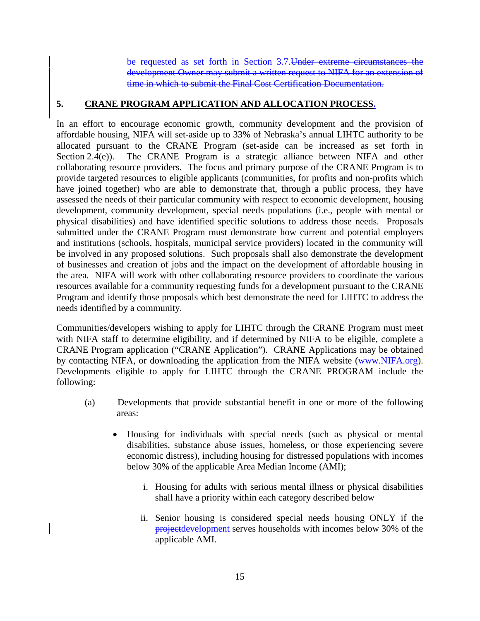be requested as set forth in Section 3.7.Under extreme circumstances the development Owner may submit a written request to NIFA for an extension of time in which to submit the Final Cost Certification Documentation.

#### **5. CRANE PROGRAM APPLICATION AND ALLOCATION PROCESS.**

In an effort to encourage economic growth, community development and the provision of affordable housing, NIFA will set-aside up to 33% of Nebraska's annual LIHTC authority to be allocated pursuant to the CRANE Program (set-aside can be increased as set forth in Section 2.4(e)). The CRANE Program is a strategic alliance between NIFA and other collaborating resource providers. The focus and primary purpose of the CRANE Program is to provide targeted resources to eligible applicants (communities, for profits and non-profits which have joined together) who are able to demonstrate that, through a public process, they have assessed the needs of their particular community with respect to economic development, housing development, community development, special needs populations (i.e., people with mental or physical disabilities) and have identified specific solutions to address those needs. Proposals submitted under the CRANE Program must demonstrate how current and potential employers and institutions (schools, hospitals, municipal service providers) located in the community will be involved in any proposed solutions. Such proposals shall also demonstrate the development of businesses and creation of jobs and the impact on the development of affordable housing in the area. NIFA will work with other collaborating resource providers to coordinate the various resources available for a community requesting funds for a development pursuant to the CRANE Program and identify those proposals which best demonstrate the need for LIHTC to address the needs identified by a community.

Communities/developers wishing to apply for LIHTC through the CRANE Program must meet with NIFA staff to determine eligibility, and if determined by NIFA to be eligible, complete a CRANE Program application ("CRANE Application"). CRANE Applications may be obtained by contacting NIFA, or downloading the application from the NIFA website [\(www.NIFA.org\)](http://www.nifa.org/). Developments eligible to apply for LIHTC through the CRANE PROGRAM include the following:

- (a) Developments that provide substantial benefit in one or more of the following areas:
	- Housing for individuals with special needs (such as physical or mental disabilities, substance abuse issues, homeless, or those experiencing severe economic distress), including housing for distressed populations with incomes below 30% of the applicable Area Median Income (AMI);
		- i. Housing for adults with serious mental illness or physical disabilities shall have a priority within each category described below
		- ii. Senior housing is considered special needs housing ONLY if the projectdevelopment serves households with incomes below 30% of the applicable AMI.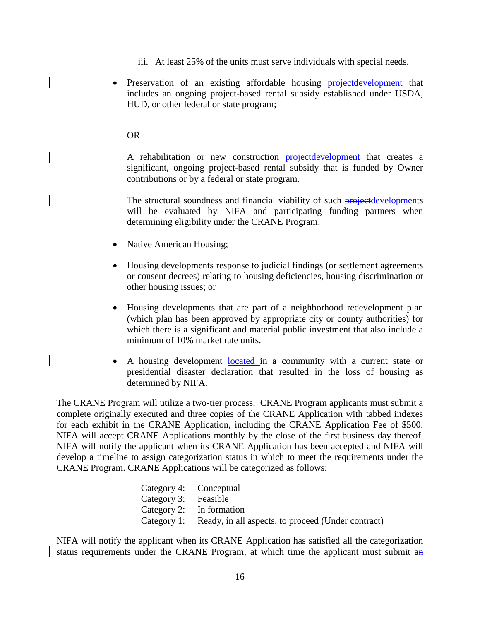- iii. At least 25% of the units must serve individuals with special needs.
- Preservation of an existing affordable housing projectdevelopment that includes an ongoing project-based rental subsidy established under USDA, HUD, or other federal or state program;

#### OR

A rehabilitation or new construction projectdevelopment that creates a significant, ongoing project-based rental subsidy that is funded by Owner contributions or by a federal or state program.

The structural soundness and financial viability of such projectdevelopments will be evaluated by NIFA and participating funding partners when determining eligibility under the CRANE Program.

- Native American Housing;
- Housing developments response to judicial findings (or settlement agreements or consent decrees) relating to housing deficiencies, housing discrimination or other housing issues; or
- Housing developments that are part of a neighborhood redevelopment plan (which plan has been approved by appropriate city or county authorities) for which there is a significant and material public investment that also include a minimum of 10% market rate units.
- A housing development **located** in a community with a current state or presidential disaster declaration that resulted in the loss of housing as determined by NIFA.

The CRANE Program will utilize a two-tier process. CRANE Program applicants must submit a complete originally executed and three copies of the CRANE Application with tabbed indexes for each exhibit in the CRANE Application, including the CRANE Application Fee of \$500. NIFA will accept CRANE Applications monthly by the close of the first business day thereof. NIFA will notify the applicant when its CRANE Application has been accepted and NIFA will develop a timeline to assign categorization status in which to meet the requirements under the CRANE Program. CRANE Applications will be categorized as follows:

| Category 4: Conceptual |                                                                |
|------------------------|----------------------------------------------------------------|
| Category 3: Feasible   |                                                                |
|                        | Category 2: In formation                                       |
|                        | Category 1: Ready, in all aspects, to proceed (Under contract) |

NIFA will notify the applicant when its CRANE Application has satisfied all the categorization status requirements under the CRANE Program, at which time the applicant must submit an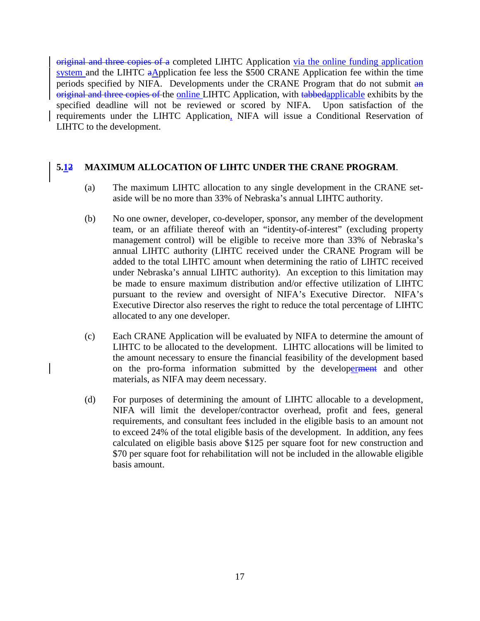original and three copies of a completed LIHTC Application via the online funding application system and the LIHTC  $a\Delta$ pplication fee less the \$500 CRANE Application fee within the time periods specified by NIFA. Developments under the CRANE Program that do not submit an original and three copies of the online LIHTC Application, with tabbedapplicable exhibits by the specified deadline will not be reviewed or scored by NIFA. Upon satisfaction of the requirements under the LIHTC Application, NIFA will issue a Conditional Reservation of LIHTC to the development.

#### **5.12 MAXIMUM ALLOCATION OF LIHTC UNDER THE CRANE PROGRAM**.

- (a) The maximum LIHTC allocation to any single development in the CRANE setaside will be no more than 33% of Nebraska's annual LIHTC authority.
- (b) No one owner, developer, co-developer, sponsor, any member of the development team, or an affiliate thereof with an "identity-of-interest" (excluding property management control) will be eligible to receive more than 33% of Nebraska's annual LIHTC authority (LIHTC received under the CRANE Program will be added to the total LIHTC amount when determining the ratio of LIHTC received under Nebraska's annual LIHTC authority). An exception to this limitation may be made to ensure maximum distribution and/or effective utilization of LIHTC pursuant to the review and oversight of NIFA's Executive Director. NIFA's Executive Director also reserves the right to reduce the total percentage of LIHTC allocated to any one developer.
- (c) Each CRANE Application will be evaluated by NIFA to determine the amount of LIHTC to be allocated to the development. LIHTC allocations will be limited to the amount necessary to ensure the financial feasibility of the development based on the pro-forma information submitted by the developerment and other materials, as NIFA may deem necessary.
- (d) For purposes of determining the amount of LIHTC allocable to a development, NIFA will limit the developer/contractor overhead, profit and fees, general requirements, and consultant fees included in the eligible basis to an amount not to exceed 24% of the total eligible basis of the development. In addition, any fees calculated on eligible basis above \$125 per square foot for new construction and \$70 per square foot for rehabilitation will not be included in the allowable eligible basis amount.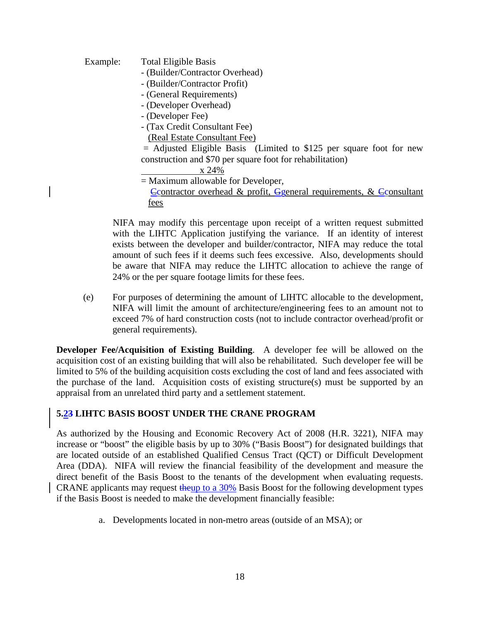Example: Total Eligible Basis - (Builder/Contractor Overhead) - (Builder/Contractor Profit) - (General Requirements) - (Developer Overhead) - (Developer Fee) - (Tax Credit Consultant Fee)  $=$  Adjusted Eligible Basis (Limited to \$125 per square foot for new construction and \$70 per square foot for rehabilitation) (Real Estate Consultant Fee) = Maximum allowable for Developer, x 24%  $\epsilon$ Ccontractor overhead & profit,  $\epsilon$ general requirements, &  $\epsilon$ Consultant fees

NIFA may modify this percentage upon receipt of a written request submitted with the LIHTC Application justifying the variance. If an identity of interest exists between the developer and builder/contractor, NIFA may reduce the total amount of such fees if it deems such fees excessive. Also, developments should be aware that NIFA may reduce the LIHTC allocation to achieve the range of 24% or the per square footage limits for these fees.

(e) For purposes of determining the amount of LIHTC allocable to the development, NIFA will limit the amount of architecture/engineering fees to an amount not to exceed 7% of hard construction costs (not to include contractor overhead/profit or general requirements).

**Developer Fee/Acquisition of Existing Building**. A developer fee will be allowed on the acquisition cost of an existing building that will also be rehabilitated. Such developer fee will be limited to 5% of the building acquisition costs excluding the cost of land and fees associated with the purchase of the land. Acquisition costs of existing structure(s) must be supported by an appraisal from an unrelated third party and a settlement statement.

### **5.23 LIHTC BASIS BOOST UNDER THE CRANE PROGRAM**

As authorized by the Housing and Economic Recovery Act of 2008 (H.R. 3221), NIFA may increase or "boost" the eligible basis by up to 30% ("Basis Boost") for designated buildings that are located outside of an established Qualified Census Tract (QCT) or Difficult Development Area (DDA). NIFA will review the financial feasibility of the development and measure the direct benefit of the Basis Boost to the tenants of the development when evaluating requests. CRANE applicants may request theup to a 30% Basis Boost for the following development types if the Basis Boost is needed to make the development financially feasible:

a. Developments located in non-metro areas (outside of an MSA); or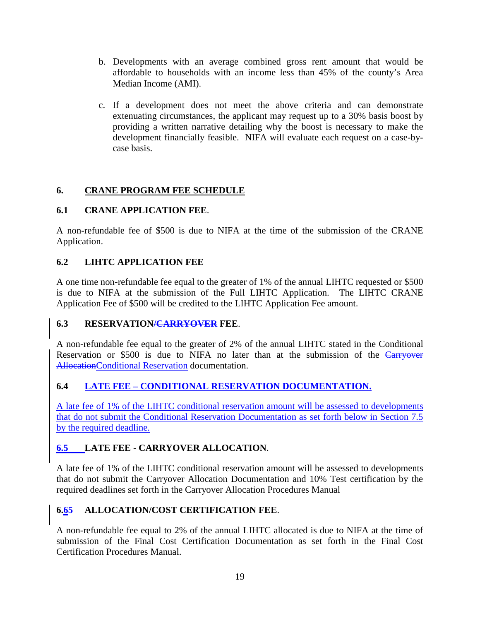- b. Developments with an average combined gross rent amount that would be affordable to households with an income less than 45% of the county's Area Median Income (AMI).
- c. If a development does not meet the above criteria and can demonstrate extenuating circumstances, the applicant may request up to a 30% basis boost by providing a written narrative detailing why the boost is necessary to make the development financially feasible. NIFA will evaluate each request on a case-bycase basis.

#### **6. CRANE PROGRAM FEE SCHEDULE**

### **6.1 CRANE APPLICATION FEE**.

A non-refundable fee of \$500 is due to NIFA at the time of the submission of the CRANE Application.

### **6.2 LIHTC APPLICATION FEE**

A one time non-refundable fee equal to the greater of 1% of the annual LIHTC requested or \$500 is due to NIFA at the submission of the Full LIHTC Application. The LIHTC CRANE Application Fee of \$500 will be credited to the LIHTC Application Fee amount.

### **6.3 RESERVATION/CARRYOVER FEE**.

A non-refundable fee equal to the greater of 2% of the annual LIHTC stated in the Conditional Reservation or \$500 is due to NIFA no later than at the submission of the Carryover AllocationConditional Reservation documentation.

### **6.4 LATE FEE – CONDITIONAL RESERVATION DOCUMENTATION.**

A late fee of 1% of the LIHTC conditional reservation amount will be assessed to developments that do not submit the Conditional Reservation Documentation as set forth below in Section 7.5 by the required deadline.

### **6.5 LATE FEE - CARRYOVER ALLOCATION**.

A late fee of 1% of the LIHTC conditional reservation amount will be assessed to developments that do not submit the Carryover Allocation Documentation and 10% Test certification by the required deadlines set forth in the Carryover Allocation Procedures Manual

### **6.65 ALLOCATION/COST CERTIFICATION FEE**.

A non-refundable fee equal to 2% of the annual LIHTC allocated is due to NIFA at the time of submission of the Final Cost Certification Documentation as set forth in the Final Cost Certification Procedures Manual.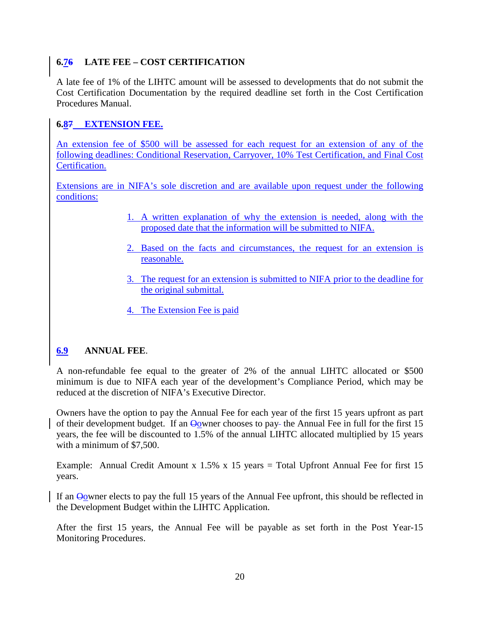# **6.76 LATE FEE – COST CERTIFICATION**

A late fee of 1% of the LIHTC amount will be assessed to developments that do not submit the Cost Certification Documentation by the required deadline set forth in the Cost Certification Procedures Manual.

## **6.87 EXTENSION FEE.**

An extension fee of \$500 will be assessed for each request for an extension of any of the following deadlines: Conditional Reservation, Carryover, 10% Test Certification, and Final Cost Certification.

Extensions are in NIFA's sole discretion and are available upon request under the following conditions:

- 1. A written explanation of why the extension is needed, along with the proposed date that the information will be submitted to NIFA.
- 2. Based on the facts and circumstances, the request for an extension is reasonable.
- 3. The request for an extension is submitted to NIFA prior to the deadline for the original submittal.
- 4. The Extension Fee is paid

### **6.9 ANNUAL FEE**.

A non-refundable fee equal to the greater of 2% of the annual LIHTC allocated or \$500 minimum is due to NIFA each year of the development's Compliance Period, which may be reduced at the discretion of NIFA's Executive Director.

Owners have the option to pay the Annual Fee for each year of the first 15 years upfront as part of their development budget. If an Oowner chooses to pay-the Annual Fee in full for the first 15 years, the fee will be discounted to 1.5% of the annual LIHTC allocated multiplied by 15 years with a minimum of \$7,500.

Example: Annual Credit Amount x 1.5% x 15 years = Total Upfront Annual Fee for first 15 years.

If an Oowner elects to pay the full 15 years of the Annual Fee upfront, this should be reflected in the Development Budget within the LIHTC Application.

After the first 15 years, the Annual Fee will be payable as set forth in the Post Year-15 Monitoring Procedures.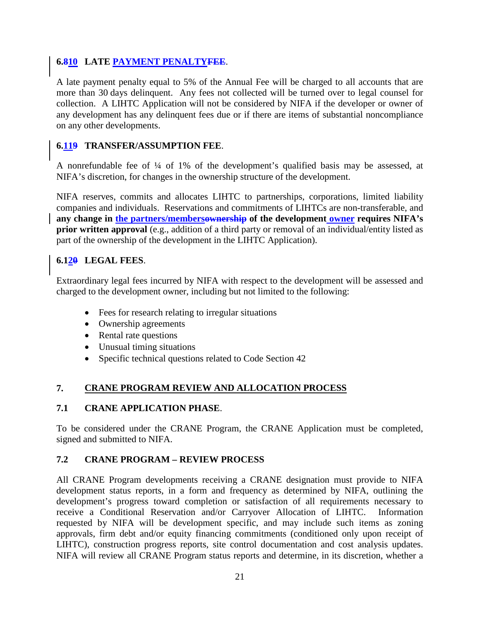### **6.810 LATE PAYMENT PENALTYFEE**.

A late payment penalty equal to 5% of the Annual Fee will be charged to all accounts that are more than 30 days delinquent. Any fees not collected will be turned over to legal counsel for collection. A LIHTC Application will not be considered by NIFA if the developer or owner of any development has any delinquent fees due or if there are items of substantial noncompliance on any other developments.

## **6.119 TRANSFER/ASSUMPTION FEE**.

A nonrefundable fee of ¼ of 1% of the development's qualified basis may be assessed, at NIFA's discretion, for changes in the ownership structure of the development.

NIFA reserves, commits and allocates LIHTC to partnerships, corporations, limited liability companies and individuals. Reservations and commitments of LIHTCs are non-transferable, and **any change in the partners/membersownership of the development owner requires NIFA's prior written approval** (e.g., addition of a third party or removal of an individual/entity listed as part of the ownership of the development in the LIHTC Application).

## **6.120 LEGAL FEES**.

Extraordinary legal fees incurred by NIFA with respect to the development will be assessed and charged to the development owner, including but not limited to the following:

- Fees for research relating to irregular situations
- Ownership agreements
- Rental rate questions
- Unusual timing situations
- Specific technical questions related to Code Section 42

#### **7. CRANE PROGRAM REVIEW AND ALLOCATION PROCESS**

### **7.1 CRANE APPLICATION PHASE**.

To be considered under the CRANE Program, the CRANE Application must be completed, signed and submitted to NIFA.

### **7.2 CRANE PROGRAM – REVIEW PROCESS**

All CRANE Program developments receiving a CRANE designation must provide to NIFA development status reports, in a form and frequency as determined by NIFA, outlining the development's progress toward completion or satisfaction of all requirements necessary to receive a Conditional Reservation and/or Carryover Allocation of LIHTC. Information requested by NIFA will be development specific, and may include such items as zoning approvals, firm debt and/or equity financing commitments (conditioned only upon receipt of LIHTC), construction progress reports, site control documentation and cost analysis updates. NIFA will review all CRANE Program status reports and determine, in its discretion, whether a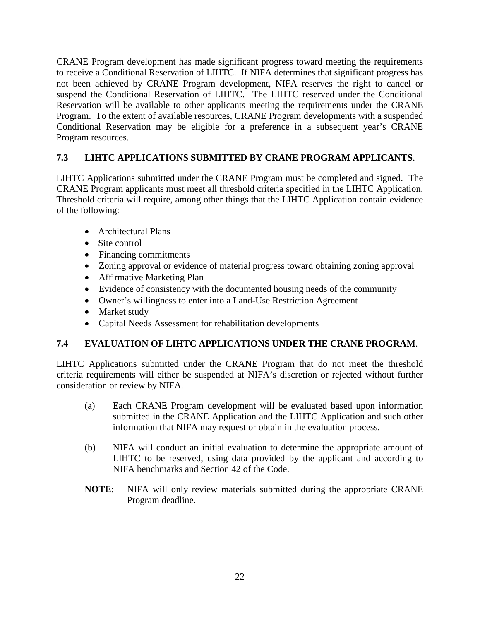CRANE Program development has made significant progress toward meeting the requirements to receive a Conditional Reservation of LIHTC. If NIFA determines that significant progress has not been achieved by CRANE Program development, NIFA reserves the right to cancel or suspend the Conditional Reservation of LIHTC. The LIHTC reserved under the Conditional Reservation will be available to other applicants meeting the requirements under the CRANE Program. To the extent of available resources, CRANE Program developments with a suspended Conditional Reservation may be eligible for a preference in a subsequent year's CRANE Program resources.

# **7.3 LIHTC APPLICATIONS SUBMITTED BY CRANE PROGRAM APPLICANTS**.

LIHTC Applications submitted under the CRANE Program must be completed and signed. The CRANE Program applicants must meet all threshold criteria specified in the LIHTC Application. Threshold criteria will require, among other things that the LIHTC Application contain evidence of the following:

- Architectural Plans
- Site control
- Financing commitments
- Zoning approval or evidence of material progress toward obtaining zoning approval
- Affirmative Marketing Plan
- Evidence of consistency with the documented housing needs of the community
- Owner's willingness to enter into a Land-Use Restriction Agreement
- Market study
- Capital Needs Assessment for rehabilitation developments

# **7.4 EVALUATION OF LIHTC APPLICATIONS UNDER THE CRANE PROGRAM**.

LIHTC Applications submitted under the CRANE Program that do not meet the threshold criteria requirements will either be suspended at NIFA's discretion or rejected without further consideration or review by NIFA.

- (a) Each CRANE Program development will be evaluated based upon information submitted in the CRANE Application and the LIHTC Application and such other information that NIFA may request or obtain in the evaluation process.
- (b) NIFA will conduct an initial evaluation to determine the appropriate amount of LIHTC to be reserved, using data provided by the applicant and according to NIFA benchmarks and Section 42 of the Code.
- **NOTE**: NIFA will only review materials submitted during the appropriate CRANE Program deadline.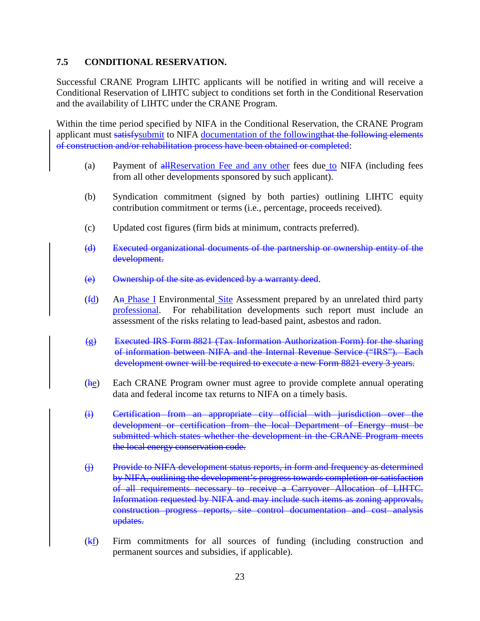#### **7.5 CONDITIONAL RESERVATION.**

Successful CRANE Program LIHTC applicants will be notified in writing and will receive a Conditional Reservation of LIHTC subject to conditions set forth in the Conditional Reservation and the availability of LIHTC under the CRANE Program.

Within the time period specified by NIFA in the Conditional Reservation, the CRANE Program applicant must satisfy submit to NIFA documentation of the following that the following elements of construction and/or rehabilitation process have been obtained or completed:

- (a) Payment of all Reservation Fee and any other fees due to NIFA (including fees from all other developments sponsored by such applicant).
- (b) Syndication commitment (signed by both parties) outlining LIHTC equity contribution commitment or terms (i.e., percentage, proceeds received).
- (c) Updated cost figures (firm bids at minimum, contracts preferred).
- (d) Executed organizational documents of the partnership or ownership entity of the development.
- (e) Ownership of the site as evidenced by a warranty deed.
- (fd) An Phase I Environmental Site Assessment prepared by an unrelated third party professional. For rehabilitation developments such report must include an assessment of the risks relating to lead-based paint, asbestos and radon.
- (g) Executed IRS Form 8821 (Tax Information Authorization Form) for the sharing of information between NIFA and the Internal Revenue Service ("IRS"). Each development owner will be required to execute a new Form 8821 every 3 years.
- (he) Each CRANE Program owner must agree to provide complete annual operating data and federal income tax returns to NIFA on a timely basis.
- (i) Certification from an appropriate city official with jurisdiction over the development or certification from the local Department of Energy must be submitted which states whether the development in the CRANE Program meets the local energy conservation code.
- (j) Provide to NIFA development status reports, in form and frequency as determined by NIFA, outlining the development's progress towards completion or satisfaction of all requirements necessary to receive a Carryover Allocation of LIHTC. Information requested by NIFA and may include such items as zoning approvals, construction progress reports, site control documentation and cost analysis updates.
- (kf) Firm commitments for all sources of funding (including construction and permanent sources and subsidies, if applicable).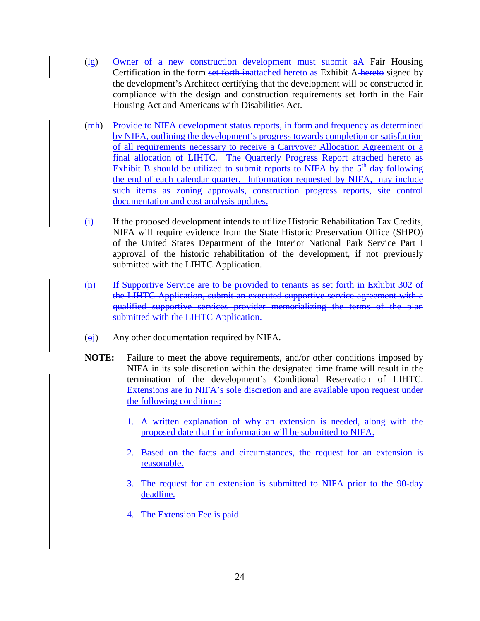- $(\text{lg})$  Owner of a new construction development must submit a $\Delta$  Fair Housing Certification in the form set forth inattached hereto as Exhibit A-hereto signed by the development's Architect certifying that the development will be constructed in compliance with the design and construction requirements set forth in the Fair Housing Act and Americans with Disabilities Act.
- (mh) Provide to NIFA development status reports, in form and frequency as determined by NIFA, outlining the development's progress towards completion or satisfaction of all requirements necessary to receive a Carryover Allocation Agreement or a final allocation of LIHTC. The Quarterly Progress Report attached hereto as Exhibit B should be utilized to submit reports to NIFA by the  $5<sup>th</sup>$  day following the end of each calendar quarter. Information requested by NIFA, may include such items as zoning approvals, construction progress reports, site control documentation and cost analysis updates.
- (i) If the proposed development intends to utilize Historic Rehabilitation Tax Credits, NIFA will require evidence from the State Historic Preservation Office (SHPO) of the United States Department of the Interior National Park Service Part I approval of the historic rehabilitation of the development, if not previously submitted with the LIHTC Application.
- (n) If Supportive Service are to be provided to tenants as set forth in Exhibit 302 of the LIHTC Application, submit an executed supportive service agreement with a qualified supportive services provider memorializing the terms of the plan submitted with the LIHTC Application.
- $\overrightarrow{(\theta)}$  Any other documentation required by NIFA.
- **NOTE:** Failure to meet the above requirements, and/or other conditions imposed by NIFA in its sole discretion within the designated time frame will result in the termination of the development's Conditional Reservation of LIHTC. Extensions are in NIFA's sole discretion and are available upon request under the following conditions:
	- 1. A written explanation of why an extension is needed, along with the proposed date that the information will be submitted to NIFA.
	- 2. Based on the facts and circumstances, the request for an extension is reasonable.
	- 3. The request for an extension is submitted to NIFA prior to the 90-day deadline.
	- 4. The Extension Fee is paid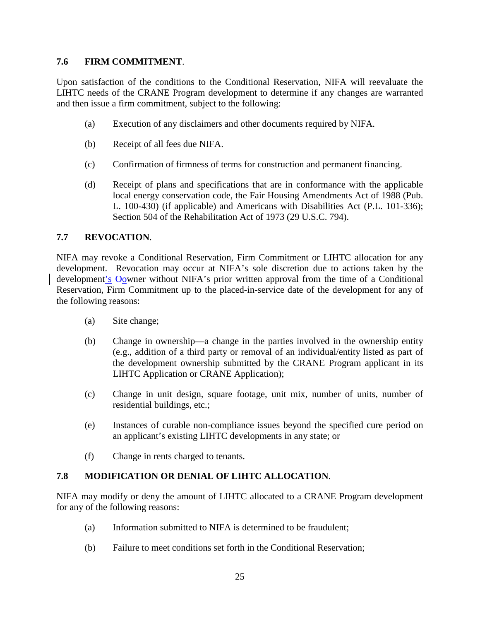#### **7.6 FIRM COMMITMENT**.

Upon satisfaction of the conditions to the Conditional Reservation, NIFA will reevaluate the LIHTC needs of the CRANE Program development to determine if any changes are warranted and then issue a firm commitment, subject to the following:

- (a) Execution of any disclaimers and other documents required by NIFA.
- (b) Receipt of all fees due NIFA.
- (c) Confirmation of firmness of terms for construction and permanent financing.
- (d) Receipt of plans and specifications that are in conformance with the applicable local energy conservation code, the Fair Housing Amendments Act of 1988 (Pub. L. 100-430) (if applicable) and Americans with Disabilities Act (P.L. 101-336); Section 504 of the Rehabilitation Act of 1973 (29 U.S.C. 794).

#### **7.7 REVOCATION**.

NIFA may revoke a Conditional Reservation, Firm Commitment or LIHTC allocation for any development. Revocation may occur at NIFA's sole discretion due to actions taken by the development's  $\Theta$ owner without NIFA's prior written approval from the time of a Conditional Reservation, Firm Commitment up to the placed-in-service date of the development for any of the following reasons:

- (a) Site change;
- (b) Change in ownership—a change in the parties involved in the ownership entity (e.g., addition of a third party or removal of an individual/entity listed as part of the development ownership submitted by the CRANE Program applicant in its LIHTC Application or CRANE Application);
- (c) Change in unit design, square footage, unit mix, number of units, number of residential buildings, etc.;
- (e) Instances of curable non-compliance issues beyond the specified cure period on an applicant's existing LIHTC developments in any state; or
- (f) Change in rents charged to tenants.

### **7.8 MODIFICATION OR DENIAL OF LIHTC ALLOCATION**.

NIFA may modify or deny the amount of LIHTC allocated to a CRANE Program development for any of the following reasons:

- (a) Information submitted to NIFA is determined to be fraudulent;
- (b) Failure to meet conditions set forth in the Conditional Reservation;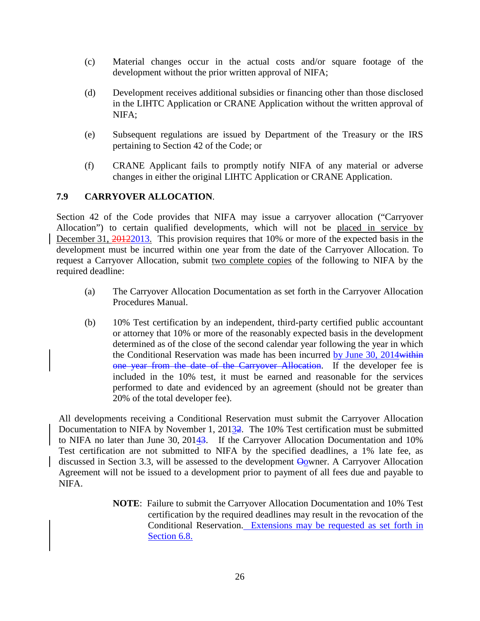- (c) Material changes occur in the actual costs and/or square footage of the development without the prior written approval of NIFA;
- (d) Development receives additional subsidies or financing other than those disclosed in the LIHTC Application or CRANE Application without the written approval of NIFA;
- (e) Subsequent regulations are issued by Department of the Treasury or the IRS pertaining to Section 42 of the Code; or
- (f) CRANE Applicant fails to promptly notify NIFA of any material or adverse changes in either the original LIHTC Application or CRANE Application.

### **7.9 CARRYOVER ALLOCATION**.

Section 42 of the Code provides that NIFA may issue a carryover allocation ("Carryover Allocation") to certain qualified developments, which will not be placed in service by December 31,  $\frac{20122013}{1000}$ . This provision requires that 10% or more of the expected basis in the development must be incurred within one year from the date of the Carryover Allocation. To request a Carryover Allocation, submit two complete copies of the following to NIFA by the required deadline:

- (a) The Carryover Allocation Documentation as set forth in the Carryover Allocation Procedures Manual.
- (b) 10% Test certification by an independent, third-party certified public accountant or attorney that 10% or more of the reasonably expected basis in the development determined as of the close of the second calendar year following the year in which the Conditional Reservation was made has been incurred by June 30, 2014 within one year from the date of the Carryover Allocation. If the developer fee is included in the 10% test, it must be earned and reasonable for the services performed to date and evidenced by an agreement (should not be greater than 20% of the total developer fee).

All developments receiving a Conditional Reservation must submit the Carryover Allocation Documentation to NIFA by November 1, 20132. The 10% Test certification must be submitted to NIFA no later than June 30, 20143. If the Carryover Allocation Documentation and 10% Test certification are not submitted to NIFA by the specified deadlines, a 1% late fee, as discussed in Section 3.3, will be assessed to the development  $\Theta$ owner. A Carryover Allocation Agreement will not be issued to a development prior to payment of all fees due and payable to NIFA.

> **NOTE**: Failure to submit the Carryover Allocation Documentation and 10% Test certification by the required deadlines may result in the revocation of the Conditional Reservation. Extensions may be requested as set forth in Section 6.8.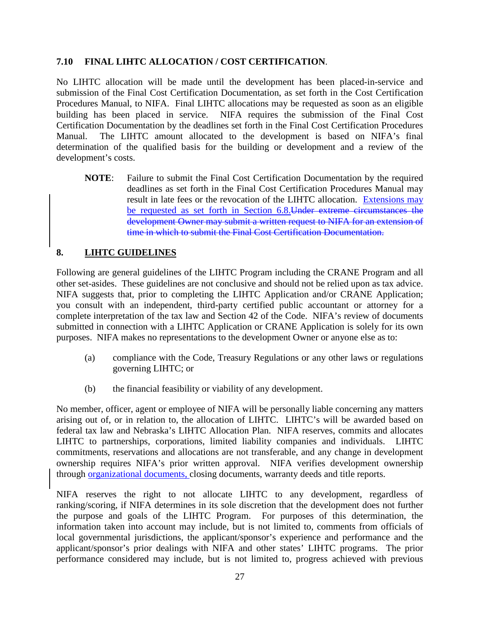#### **7.10 FINAL LIHTC ALLOCATION / COST CERTIFICATION**.

No LIHTC allocation will be made until the development has been placed-in-service and submission of the Final Cost Certification Documentation, as set forth in the Cost Certification Procedures Manual, to NIFA. Final LIHTC allocations may be requested as soon as an eligible building has been placed in service. NIFA requires the submission of the Final Cost Certification Documentation by the deadlines set forth in the Final Cost Certification Procedures Manual. The LIHTC amount allocated to the development is based on NIFA's final determination of the qualified basis for the building or development and a review of the development's costs.

**NOTE**: Failure to submit the Final Cost Certification Documentation by the required deadlines as set forth in the Final Cost Certification Procedures Manual may result in late fees or the revocation of the LIHTC allocation. Extensions may be requested as set forth in Section 6.8.Under extreme circumstances the development Owner may submit a written request to NIFA for an extension of time in which to submit the Final Cost Certification Documentation.

#### **8. LIHTC GUIDELINES**

Following are general guidelines of the LIHTC Program including the CRANE Program and all other set-asides. These guidelines are not conclusive and should not be relied upon as tax advice. NIFA suggests that, prior to completing the LIHTC Application and/or CRANE Application; you consult with an independent, third-party certified public accountant or attorney for a complete interpretation of the tax law and Section 42 of the Code. NIFA's review of documents submitted in connection with a LIHTC Application or CRANE Application is solely for its own purposes. NIFA makes no representations to the development Owner or anyone else as to:

- (a) compliance with the Code, Treasury Regulations or any other laws or regulations governing LIHTC; or
- (b) the financial feasibility or viability of any development.

No member, officer, agent or employee of NIFA will be personally liable concerning any matters arising out of, or in relation to, the allocation of LIHTC. LIHTC's will be awarded based on federal tax law and Nebraska's LIHTC Allocation Plan. NIFA reserves, commits and allocates LIHTC to partnerships, corporations, limited liability companies and individuals. LIHTC commitments, reservations and allocations are not transferable, and any change in development ownership requires NIFA's prior written approval. NIFA verifies development ownership through organizational documents, closing documents, warranty deeds and title reports.

NIFA reserves the right to not allocate LIHTC to any development, regardless of ranking/scoring, if NIFA determines in its sole discretion that the development does not further the purpose and goals of the LIHTC Program. For purposes of this determination, the information taken into account may include, but is not limited to, comments from officials of local governmental jurisdictions, the applicant/sponsor's experience and performance and the applicant/sponsor's prior dealings with NIFA and other states' LIHTC programs. The prior performance considered may include, but is not limited to, progress achieved with previous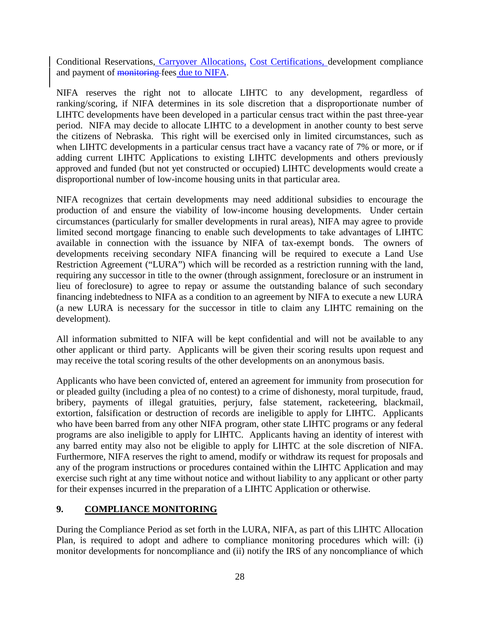Conditional Reservations, Carryover Allocations, Cost Certifications, development compliance and payment of monitoring fees due to NIFA.

NIFA reserves the right not to allocate LIHTC to any development, regardless of ranking/scoring, if NIFA determines in its sole discretion that a disproportionate number of LIHTC developments have been developed in a particular census tract within the past three-year period. NIFA may decide to allocate LIHTC to a development in another county to best serve the citizens of Nebraska. This right will be exercised only in limited circumstances, such as when LIHTC developments in a particular census tract have a vacancy rate of 7% or more, or if adding current LIHTC Applications to existing LIHTC developments and others previously approved and funded (but not yet constructed or occupied) LIHTC developments would create a disproportional number of low-income housing units in that particular area.

NIFA recognizes that certain developments may need additional subsidies to encourage the production of and ensure the viability of low-income housing developments. Under certain circumstances (particularly for smaller developments in rural areas), NIFA may agree to provide limited second mortgage financing to enable such developments to take advantages of LIHTC available in connection with the issuance by NIFA of tax-exempt bonds. The owners of developments receiving secondary NIFA financing will be required to execute a Land Use Restriction Agreement ("LURA") which will be recorded as a restriction running with the land, requiring any successor in title to the owner (through assignment, foreclosure or an instrument in lieu of foreclosure) to agree to repay or assume the outstanding balance of such secondary financing indebtedness to NIFA as a condition to an agreement by NIFA to execute a new LURA (a new LURA is necessary for the successor in title to claim any LIHTC remaining on the development).

All information submitted to NIFA will be kept confidential and will not be available to any other applicant or third party. Applicants will be given their scoring results upon request and may receive the total scoring results of the other developments on an anonymous basis.

Applicants who have been convicted of, entered an agreement for immunity from prosecution for or pleaded guilty (including a plea of no contest) to a crime of dishonesty, moral turpitude, fraud, bribery, payments of illegal gratuities, perjury, false statement, racketeering, blackmail, extortion, falsification or destruction of records are ineligible to apply for LIHTC. Applicants who have been barred from any other NIFA program, other state LIHTC programs or any federal programs are also ineligible to apply for LIHTC. Applicants having an identity of interest with any barred entity may also not be eligible to apply for LIHTC at the sole discretion of NIFA. Furthermore, NIFA reserves the right to amend, modify or withdraw its request for proposals and any of the program instructions or procedures contained within the LIHTC Application and may exercise such right at any time without notice and without liability to any applicant or other party for their expenses incurred in the preparation of a LIHTC Application or otherwise.

#### **9. COMPLIANCE MONITORING**

During the Compliance Period as set forth in the LURA, NIFA, as part of this LIHTC Allocation Plan, is required to adopt and adhere to compliance monitoring procedures which will: (i) monitor developments for noncompliance and (ii) notify the IRS of any noncompliance of which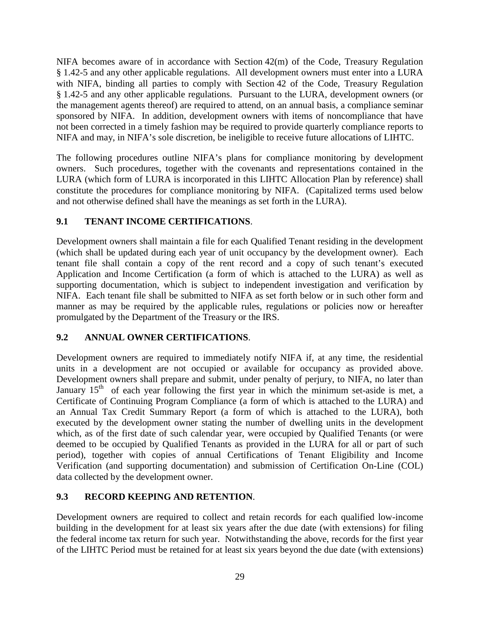NIFA becomes aware of in accordance with Section 42(m) of the Code, Treasury Regulation § 1.42-5 and any other applicable regulations. All development owners must enter into a LURA with NIFA, binding all parties to comply with Section 42 of the Code, Treasury Regulation § 1.42-5 and any other applicable regulations. Pursuant to the LURA, development owners (or the management agents thereof) are required to attend, on an annual basis, a compliance seminar sponsored by NIFA. In addition, development owners with items of noncompliance that have not been corrected in a timely fashion may be required to provide quarterly compliance reports to NIFA and may, in NIFA's sole discretion, be ineligible to receive future allocations of LIHTC.

The following procedures outline NIFA's plans for compliance monitoring by development owners. Such procedures, together with the covenants and representations contained in the LURA (which form of LURA is incorporated in this LIHTC Allocation Plan by reference) shall constitute the procedures for compliance monitoring by NIFA. (Capitalized terms used below and not otherwise defined shall have the meanings as set forth in the LURA).

## **9.1 TENANT INCOME CERTIFICATIONS**.

Development owners shall maintain a file for each Qualified Tenant residing in the development (which shall be updated during each year of unit occupancy by the development owner). Each tenant file shall contain a copy of the rent record and a copy of such tenant's executed Application and Income Certification (a form of which is attached to the LURA) as well as supporting documentation, which is subject to independent investigation and verification by NIFA. Each tenant file shall be submitted to NIFA as set forth below or in such other form and manner as may be required by the applicable rules, regulations or policies now or hereafter promulgated by the Department of the Treasury or the IRS.

### **9.2 ANNUAL OWNER CERTIFICATIONS**.

Development owners are required to immediately notify NIFA if, at any time, the residential units in a development are not occupied or available for occupancy as provided above. Development owners shall prepare and submit, under penalty of perjury, to NIFA, no later than January  $15<sup>th</sup>$  of each year following the first year in which the minimum set-aside is met, a Certificate of Continuing Program Compliance (a form of which is attached to the LURA) and an Annual Tax Credit Summary Report (a form of which is attached to the LURA), both executed by the development owner stating the number of dwelling units in the development which, as of the first date of such calendar year, were occupied by Qualified Tenants (or were deemed to be occupied by Qualified Tenants as provided in the LURA for all or part of such period), together with copies of annual Certifications of Tenant Eligibility and Income Verification (and supporting documentation) and submission of Certification On-Line (COL) data collected by the development owner.

### **9.3 RECORD KEEPING AND RETENTION**.

Development owners are required to collect and retain records for each qualified low-income building in the development for at least six years after the due date (with extensions) for filing the federal income tax return for such year. Notwithstanding the above, records for the first year of the LIHTC Period must be retained for at least six years beyond the due date (with extensions)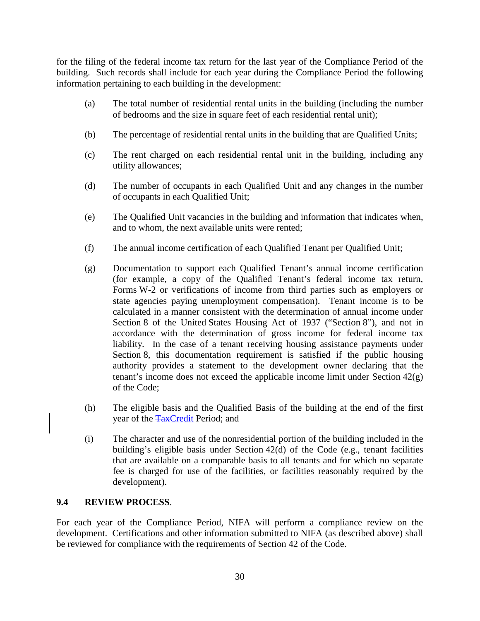for the filing of the federal income tax return for the last year of the Compliance Period of the building. Such records shall include for each year during the Compliance Period the following information pertaining to each building in the development:

- (a) The total number of residential rental units in the building (including the number of bedrooms and the size in square feet of each residential rental unit);
- (b) The percentage of residential rental units in the building that are Qualified Units;
- (c) The rent charged on each residential rental unit in the building, including any utility allowances;
- (d) The number of occupants in each Qualified Unit and any changes in the number of occupants in each Qualified Unit;
- (e) The Qualified Unit vacancies in the building and information that indicates when, and to whom, the next available units were rented;
- (f) The annual income certification of each Qualified Tenant per Qualified Unit;
- (g) Documentation to support each Qualified Tenant's annual income certification (for example, a copy of the Qualified Tenant's federal income tax return, Forms W-2 or verifications of income from third parties such as employers or state agencies paying unemployment compensation). Tenant income is to be calculated in a manner consistent with the determination of annual income under Section 8 of the United States Housing Act of 1937 ("Section 8"), and not in accordance with the determination of gross income for federal income tax liability. In the case of a tenant receiving housing assistance payments under Section 8, this documentation requirement is satisfied if the public housing authority provides a statement to the development owner declaring that the tenant's income does not exceed the applicable income limit under Section  $42(g)$ of the Code;
- (h) The eligible basis and the Qualified Basis of the building at the end of the first year of the TaxCredit Period; and
- (i) The character and use of the nonresidential portion of the building included in the building's eligible basis under Section 42(d) of the Code (e.g., tenant facilities that are available on a comparable basis to all tenants and for which no separate fee is charged for use of the facilities, or facilities reasonably required by the development).

### **9.4 REVIEW PROCESS**.

For each year of the Compliance Period, NIFA will perform a compliance review on the development. Certifications and other information submitted to NIFA (as described above) shall be reviewed for compliance with the requirements of Section 42 of the Code.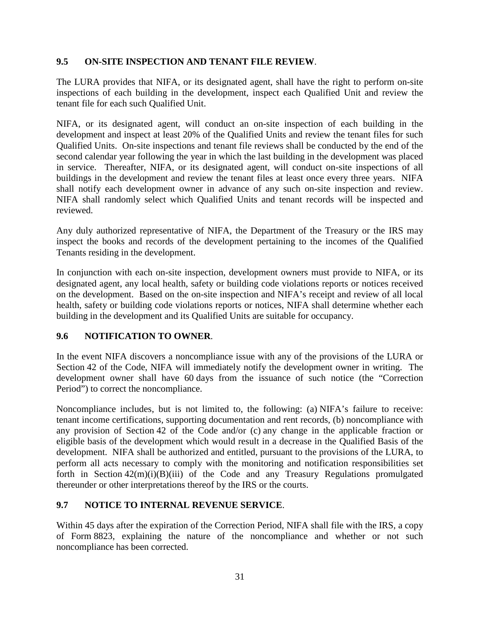#### **9.5 ON-SITE INSPECTION AND TENANT FILE REVIEW**.

The LURA provides that NIFA, or its designated agent, shall have the right to perform on-site inspections of each building in the development, inspect each Qualified Unit and review the tenant file for each such Qualified Unit.

NIFA, or its designated agent, will conduct an on-site inspection of each building in the development and inspect at least 20% of the Qualified Units and review the tenant files for such Qualified Units. On-site inspections and tenant file reviews shall be conducted by the end of the second calendar year following the year in which the last building in the development was placed in service. Thereafter, NIFA, or its designated agent, will conduct on-site inspections of all buildings in the development and review the tenant files at least once every three years. NIFA shall notify each development owner in advance of any such on-site inspection and review. NIFA shall randomly select which Qualified Units and tenant records will be inspected and reviewed.

Any duly authorized representative of NIFA, the Department of the Treasury or the IRS may inspect the books and records of the development pertaining to the incomes of the Qualified Tenants residing in the development.

In conjunction with each on-site inspection, development owners must provide to NIFA, or its designated agent, any local health, safety or building code violations reports or notices received on the development. Based on the on-site inspection and NIFA's receipt and review of all local health, safety or building code violations reports or notices, NIFA shall determine whether each building in the development and its Qualified Units are suitable for occupancy.

### **9.6 NOTIFICATION TO OWNER**.

In the event NIFA discovers a noncompliance issue with any of the provisions of the LURA or Section 42 of the Code, NIFA will immediately notify the development owner in writing. The development owner shall have 60 days from the issuance of such notice (the "Correction Period") to correct the noncompliance.

Noncompliance includes, but is not limited to, the following: (a) NIFA's failure to receive: tenant income certifications, supporting documentation and rent records, (b) noncompliance with any provision of Section 42 of the Code and/or (c) any change in the applicable fraction or eligible basis of the development which would result in a decrease in the Qualified Basis of the development. NIFA shall be authorized and entitled, pursuant to the provisions of the LURA, to perform all acts necessary to comply with the monitoring and notification responsibilities set forth in Section  $42(m)(i)(B)(iii)$  of the Code and any Treasury Regulations promulgated thereunder or other interpretations thereof by the IRS or the courts.

### **9.7 NOTICE TO INTERNAL REVENUE SERVICE**.

Within 45 days after the expiration of the Correction Period, NIFA shall file with the IRS, a copy of Form 8823, explaining the nature of the noncompliance and whether or not such noncompliance has been corrected.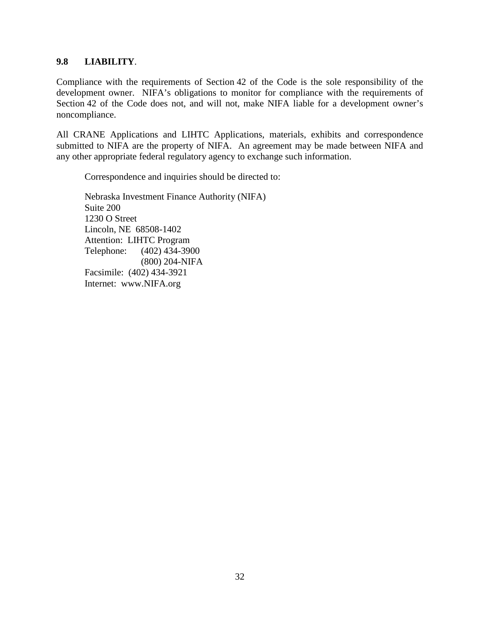#### **9.8 LIABILITY**.

Compliance with the requirements of Section 42 of the Code is the sole responsibility of the development owner. NIFA's obligations to monitor for compliance with the requirements of Section 42 of the Code does not, and will not, make NIFA liable for a development owner's noncompliance.

All CRANE Applications and LIHTC Applications, materials, exhibits and correspondence submitted to NIFA are the property of NIFA. An agreement may be made between NIFA and any other appropriate federal regulatory agency to exchange such information.

Correspondence and inquiries should be directed to:

Nebraska Investment Finance Authority (NIFA) Suite 200 1230 O Street Lincoln, NE 68508-1402 Attention: LIHTC Program Telephone: (402) 434-3900 (800) 204-NIFA Facsimile: (402) 434-3921 Internet: [www.NIFA.org](http://www.nifa.org/)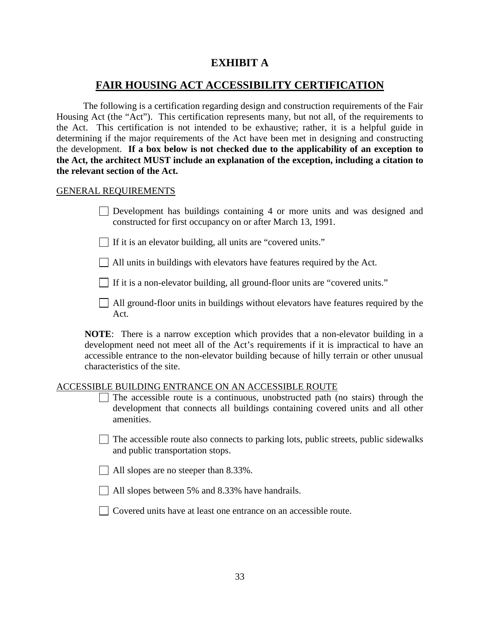# **EXHIBIT A**

# **FAIR HOUSING ACT ACCESSIBILITY CERTIFICATION**

The following is a certification regarding design and construction requirements of the Fair Housing Act (the "Act"). This certification represents many, but not all, of the requirements to the Act. This certification is not intended to be exhaustive; rather, it is a helpful guide in determining if the major requirements of the Act have been met in designing and constructing the development. **If a box below is not checked due to the applicability of an exception to the Act, the architect MUST include an explanation of the exception, including a citation to the relevant section of the Act.**

#### GENERAL REQUIREMENTS

Development has buildings containing 4 or more units and was designed and constructed for first occupancy on or after March 13, 1991.

 $\Box$  If it is an elevator building, all units are "covered units."

All units in buildings with elevators have features required by the Act.

If it is a non-elevator building, all ground-floor units are "covered units."

 $\Box$  All ground-floor units in buildings without elevators have features required by the Act.

**NOTE**: There is a narrow exception which provides that a non-elevator building in a development need not meet all of the Act's requirements if it is impractical to have an accessible entrance to the non-elevator building because of hilly terrain or other unusual characteristics of the site.

#### ACCESSIBLE BUILDING ENTRANCE ON AN ACCESSIBLE ROUTE

- $\Box$  The accessible route is a continuous, unobstructed path (no stairs) through the development that connects all buildings containing covered units and all other amenities.
- $\Box$  The accessible route also connects to parking lots, public streets, public sidewalks and public transportation stops.
- $\Box$  All slopes are no steeper than 8.33%.
- All slopes between 5% and 8.33% have handrails.
- Covered units have at least one entrance on an accessible route.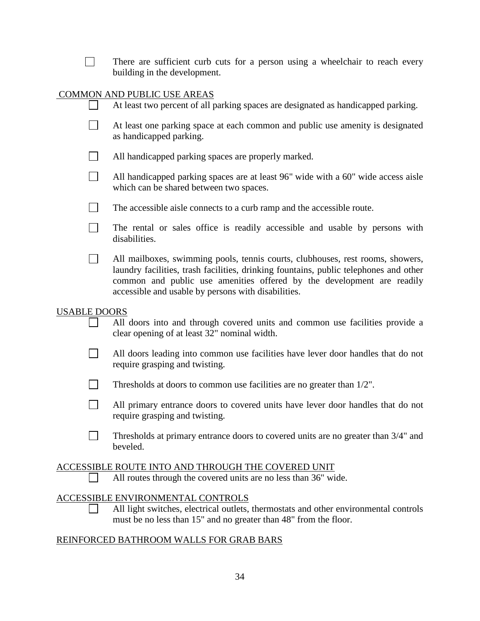|                     | There are sufficient curb cuts for a person using a wheelchair to reach every<br>building in the development.                                                                                                                                                                                            |
|---------------------|----------------------------------------------------------------------------------------------------------------------------------------------------------------------------------------------------------------------------------------------------------------------------------------------------------|
|                     | COMMON AND PUBLIC USE AREAS                                                                                                                                                                                                                                                                              |
|                     | At least two percent of all parking spaces are designated as handicapped parking.                                                                                                                                                                                                                        |
|                     | At least one parking space at each common and public use amenity is designated<br>as handicapped parking.                                                                                                                                                                                                |
|                     | All handicapped parking spaces are properly marked.                                                                                                                                                                                                                                                      |
|                     | All handicapped parking spaces are at least 96" wide with a 60" wide access aisle<br>which can be shared between two spaces.                                                                                                                                                                             |
| $\vert \ \ \vert$   | The accessible aisle connects to a curb ramp and the accessible route.                                                                                                                                                                                                                                   |
|                     | The rental or sales office is readily accessible and usable by persons with<br>disabilities.                                                                                                                                                                                                             |
|                     | All mailboxes, swimming pools, tennis courts, clubhouses, rest rooms, showers,<br>laundry facilities, trash facilities, drinking fountains, public telephones and other<br>common and public use amenities offered by the development are readily<br>accessible and usable by persons with disabilities. |
| <b>USABLE DOORS</b> | All doors into and through covered units and common use facilities provide a<br>clear opening of at least 32" nominal width.                                                                                                                                                                             |
|                     | All doors leading into common use facilities have lever door handles that do not<br>require grasping and twisting.                                                                                                                                                                                       |
|                     | Thresholds at doors to common use facilities are no greater than 1/2".                                                                                                                                                                                                                                   |
|                     | All primary entrance doors to covered units have lever door handles that do not<br>require grasping and twisting.                                                                                                                                                                                        |
|                     | Thresholds at primary entrance doors to covered units are no greater than 3/4" and<br>beveled.                                                                                                                                                                                                           |
|                     | ACCESSIBLE ROUTE INTO AND THROUGH THE COVERED UNIT<br>All routes through the covered units are no less than 36" wide.                                                                                                                                                                                    |
|                     | ACCESSIBLE ENVIRONMENTAL CONTROLS<br>All light switches, electrical outlets, thermostats and other environmental controls<br>must be no less than 15" and no greater than 48" from the floor.                                                                                                            |
|                     | REINFORCED BATHROOM WALLS FOR GRAB BARS                                                                                                                                                                                                                                                                  |

# 34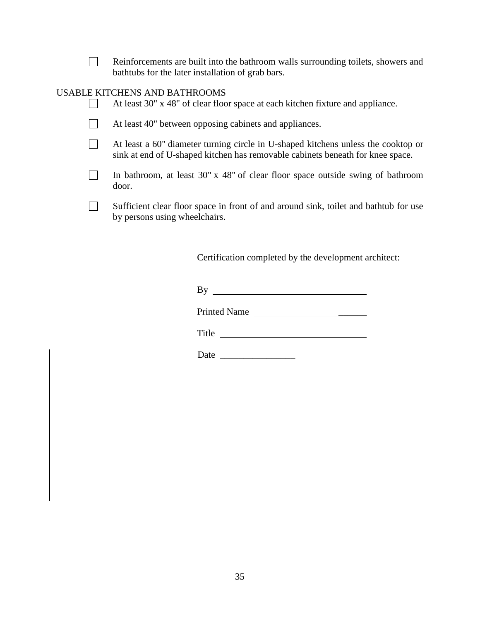| Reinforcements are built into the bathroom walls surrounding toilets, showers and |
|-----------------------------------------------------------------------------------|
| bathtubs for the later installation of grab bars.                                 |

# USABLE KITCHENS AND BATHROOMS

|  | At least 30" x 48" of clear floor space at each kitchen fixture and appliance.                                                                                      |
|--|---------------------------------------------------------------------------------------------------------------------------------------------------------------------|
|  | At least 40" between opposing cabinets and appliances.                                                                                                              |
|  | At least a 60" diameter turning circle in U-shaped kitchens unless the cooktop or<br>sink at end of U-shaped kitchen has removable cabinets beneath for knee space. |
|  | In bathroom, at least $30'' \times 48''$ of clear floor space outside swing of bathroom<br>door.                                                                    |
|  | Sufficient clear floor space in front of and around sink, toilet and bathtub for use<br>by persons using wheelchairs.                                               |

Certification completed by the development architect:

By

Printed Name

Title

Date \_\_\_\_\_\_\_\_\_\_\_\_\_\_\_\_